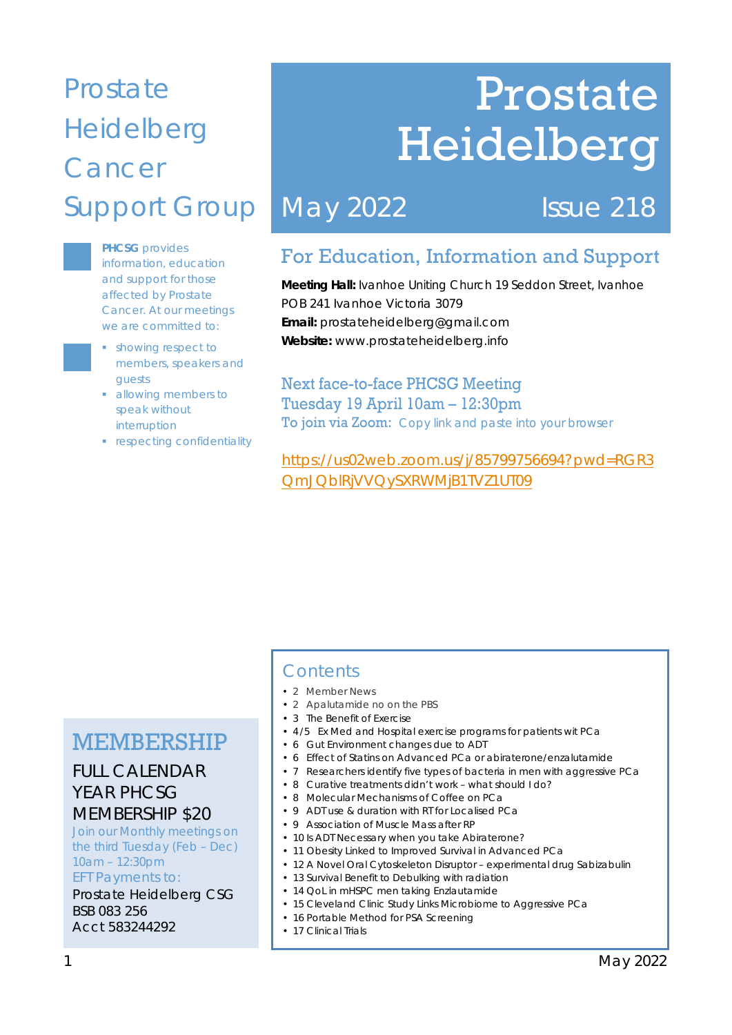## Prostate Heidelberg **Cancer** Support Group

**PHCSG** provides information, education and support for those affected by Prostate Cancer. At our meetings we are committed to:

- **•** showing respect to members, speakers and guests
- allowing members to speak without interruption
- **•** respecting confidentiality

# Prostate Heidelberg

## May 2022 **Issue 218**

### For Education, Information and Support

**Meeting Hall:** Ivanhoe Uniting Church 19 Seddon Street, Ivanhoe POB 241 Ivanhoe Victoria 3079 **Email:** prostateheidelberg@gmail.com **Website:** www.prostateheidelberg.info

Next face-to-face PHCSG Meeting Tuesday 19 April 10am – 12:30pm To join via Zoom: Copy link and paste into your browser

https://us02web.zoom.us/j/85799756694?pwd=RGR3 QmJQblRjVVQySXRWMjB1TVZ1UT09

### MEMBERSHIP

### FULL CALENDAR YEAR PHCSG MEMBERSHIP \$20

Join our Monthly meetings on the third Tuesday (Feb – Dec) 10am – 12:30pm EFT Payments to:

Prostate Heidelberg CSG BSB 083 256 Acct 583244292

### **Contents**

- 2 Member News
- 2 Apalutamide no on the PBS
- 3 The Benefit of Exercise
- 4 /5 Ex Med and Hospital exercise programs for patients wit PCa
- 6 Gut Environment changes due to ADT
- 6 Effect of Statins on Advanced PCa or abiraterone/enzalutamide
- 7 Researchers identify five types of bacteria in men with aggressive PCa
- 8 Curative treatments didn't work what should I do?
- 8 Molecular Mechanisms of Coffee on PCa
- 9 ADT use & duration with RT for Localised PCa
- 9 Association of Muscle Mass after RP
- 10 Is ADT Necessary when you take Abiraterone?
- 11 Obesity Linked to Improved Survival in Advanced PCa
- 12 A Novel Oral Cytoskeleton Disruptor experimental drug Sabizabulin
- 13 Survival Benefit to Debulking with radiation
- 14 QoL in mHSPC men taking Enzlautamide
- 15 Cleveland Clinic Study Links Microbiome to Aggressive PCa
- 16 Portable Method for PSA Screening
- 17 Clinical Trials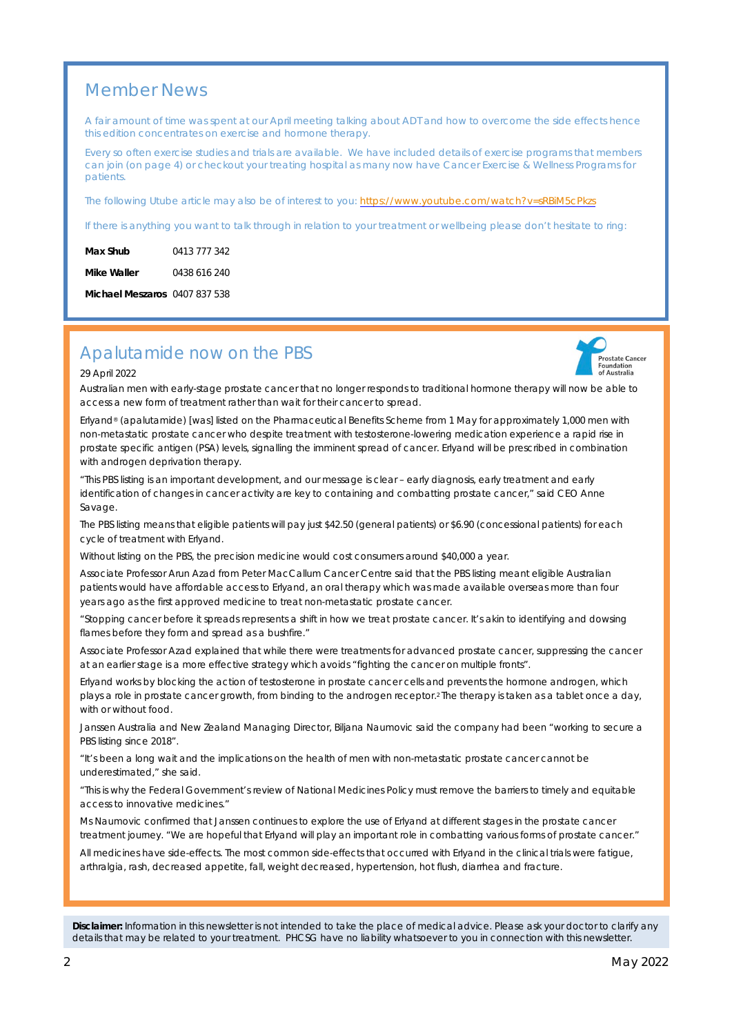### Member News

A fair amount of time was spent at our April meeting talking about ADT and how to overcome the side effects hence this edition concentrates on exercise and hormone therapy.

Every so often exercise studies and trials are available. We have included details of exercise programs that members can join (on page 4) or checkout your treating hospital as many now have Cancer Exercise & Wellness Programs for patients.

The following Utube article may also be of interest to you: https://www.youtube.com/watch?v=sRBiM5cPkzs

If there is anything you want to talk through in relation to your treatment or wellbeing please don't hesitate to ring:

| Max Shub    | 0413 777 342 |
|-------------|--------------|
| Mike Waller | 0438 616 240 |

**Michael Meszaros** 0407 837 538

### Apalutamide now on the PBS

#### 29 April 2022

Australian men with early-stage prostate cancer that no longer responds to traditional hormone therapy will now be able to access a new form of treatment rather than wait for their cancer to spread.

Erlyand® (apalutamide) [was] listed on the Pharmaceutical Benefits Scheme from 1 May for approximately 1,000 men with non-metastatic prostate cancer who despite treatment with testosterone-lowering medication experience a rapid rise in prostate specific antigen (PSA) levels, signalling the imminent spread of cancer. Erlyand will be prescribed in combination with androgen deprivation therapy.

"This PBS listing is an important development, and our message is clear – early diagnosis, early treatment and early identification of changes in cancer activity are key to containing and combatting prostate cancer," said CEO Anne Savage.

The PBS listing means that eligible patients will pay just \$42.50 (general patients) or \$6.90 (concessional patients) for each cycle of treatment with Erlyand.

Without listing on the PBS, the precision medicine would cost consumers around \$40,000 a year.

Associate Professor Arun Azad from Peter MacCallum Cancer Centre said that the PBS listing meant eligible Australian patients would have affordable access to Erlyand, an oral therapy which was made available overseas more than four years ago as the first approved medicine to treat non-metastatic prostate cancer.

"Stopping cancer before it spreads represents a shift in how we treat prostate cancer. It's akin to identifying and dowsing flames before they form and spread as a bushfire."

Associate Professor Azad explained that while there were treatments for advanced prostate cancer, suppressing the cancer at an earlier stage is a more effective strategy which avoids "fighting the cancer on multiple fronts".

Erlyand works by blocking the action of testosterone in prostate cancer cells and prevents the hormone androgen, which plays a role in prostate cancer growth, from binding to the androgen receptor.2 The therapy is taken as a tablet once a day, with or without food.

Janssen Australia and New Zealand Managing Director, Biljana Naumovic said the company had been "working to secure a PBS listing since 2018".

"It's been a long wait and the implications on the health of men with non-metastatic prostate cancer cannot be underestimated," she said.

"This is why the Federal Government's review of National Medicines Policy must remove the barriers to timely and equitable access to innovative medicines."

Ms Naumovic confirmed that Janssen continues to explore the use of Erlyand at different stages in the prostate cancer treatment journey. "We are hopeful that Erlyand will play an important role in combatting various forms of prostate cancer."

All medicines have side-effects. The most common side-effects that occurred with Erlyand in the clinical trials were fatigue, arthralgia, rash, decreased appetite, fall, weight decreased, hypertension, hot flush, diarrhea and fracture.

**Disclaimer:** *Information in this newsletter is not intended to take the place of medical advice. Please ask your doctor to clarify any details that may be related to your treatment. PHCSG have no liability whatsoever to you in connection with this newsletter.*

Prostate Cancer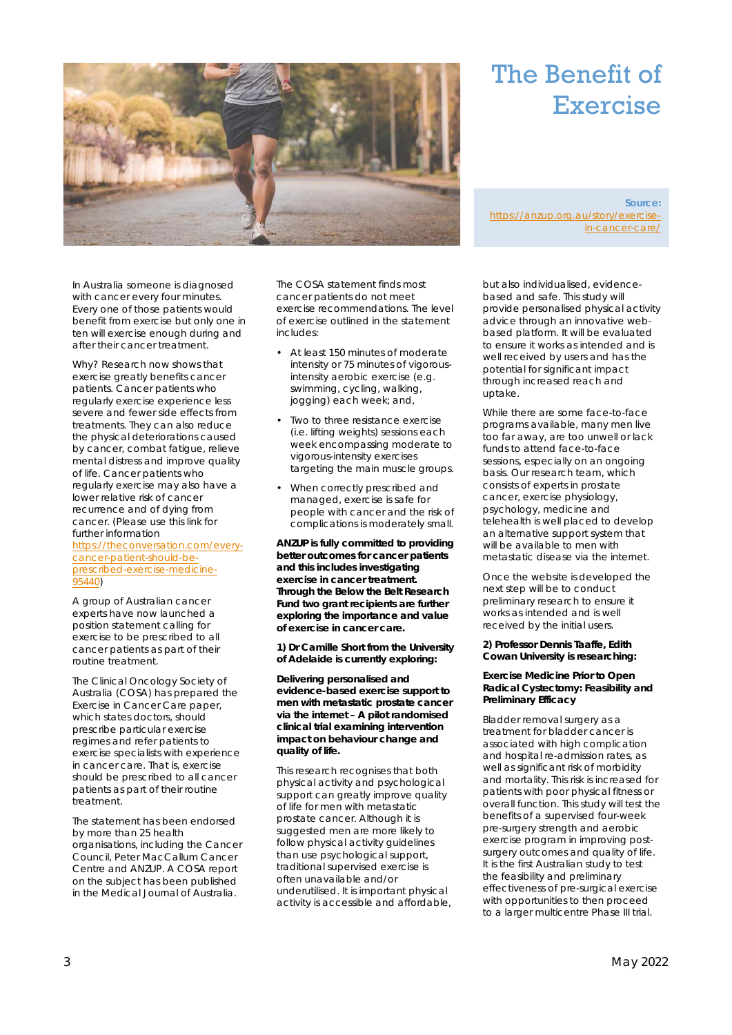

## The Benefit of Exercise

**Source:** https://anzup.org.au/story/exercisein-cancer-care/

In Australia someone is diagnosed with cancer every four minutes. Every one of those patients would benefit from exercise but only one in ten will exercise enough during and after their cancer treatment.

Why? Research now shows that exercise greatly benefits cancer patients. Cancer patients who regularly exercise experience less severe and fewer side effects from treatments. They can also reduce the physical deteriorations caused by cancer, combat fatigue, relieve mental distress and improve quality of life. Cancer patients who regularly exercise may also have a lower relative risk of cancer recurrence and of dying from cancer. (Please use this link for further information https://theconversation.com/everycancer-patient-should-beprescribed-exercise-medicine-95440)

A group of Australian cancer experts have now launched a position statement calling for exercise to be prescribed to all cancer patients as part of their routine treatment.

The Clinical Oncology Society of Australia (COSA) has prepared the Exercise in Cancer Care paper, which states doctors, should prescribe particular exercise regimes and refer patients to exercise specialists with experience in cancer care. That is, exercise should be prescribed to all cancer patients as part of their routine treatment.

The statement has been endorsed by more than 25 health organisations, including the Cancer Council, Peter MacCallum Cancer Centre and ANZUP. A COSA report on the subject has been published in the Medical Journal of Australia.

The COSA statement finds most cancer patients do not meet exercise recommendations. The level of exercise outlined in the statement includes:

- At least 150 minutes of moderate intensity or 75 minutes of vigorousintensity aerobic exercise (e.g. swimming, cycling, walking, jogging) each week; and,
- Two to three resistance exercise (i.e. lifting weights) sessions each week encompassing moderate to vigorous-intensity exercises targeting the main muscle groups.
- When correctly prescribed and managed, exercise is safe for people with cancer and the risk of complications is moderately small.

**ANZUP is fully committed to providing better outcomes for cancer patients and this includes investigating exercise in cancer treatment. Through the Below the Belt Research Fund two grant recipients are further exploring the importance and value of exercise in cancer care.**

**1) Dr Camille Short from the University of Adelaide is currently exploring:**

*Delivering personalised and evidence-based exercise support to men with metastatic prostate cancer via the internet – A pilot randomised clinical trial examining intervention impact on behaviour change and quality of life.*

This research recognises that both physical activity and psychological support can greatly improve quality of life for men with metastatic prostate cancer. Although it is suggested men are more likely to follow physical activity guidelines than use psychological support, traditional supervised exercise is often unavailable and/or underutilised. It is important physical activity is accessible and affordable,

but also individualised, evidencebased and safe. This study will provide personalised physical activity advice through an innovative webbased platform. It will be evaluated to ensure it works as intended and is well received by users and has the potential for significant impact through increased reach and uptake.

While there are some face-to-face programs available, many men live too far away, are too unwell or lack funds to attend face-to-face sessions, especially on an ongoing basis. Our research team, which consists of experts in prostate cancer, exercise physiology, psychology, medicine and telehealth is well placed to develop an alternative support system that will be available to men with metastatic disease via the internet.

Once the website is developed the next step will be to conduct preliminary research to ensure it works as intended and is well received by the initial users.

**2) Professor Dennis Taaffe, Edith Cowan University is researching:**

*Exercise Medicine Prior to Open Radical Cystectomy: Feasibility and Preliminary Efficacy*

Bladder removal surgery as a treatment for bladder cancer is associated with high complication and hospital re-admission rates, as well as significant risk of morbidity and mortality. This risk is increased for patients with poor physical fitness or overall function. This study will test the benefits of a supervised four-week pre-surgery strength and aerobic exercise program in improving postsurgery outcomes and quality of life. It is the first Australian study to test the feasibility and preliminary effectiveness of pre-surgical exercise with opportunities to then proceed to a larger multicentre Phase III trial.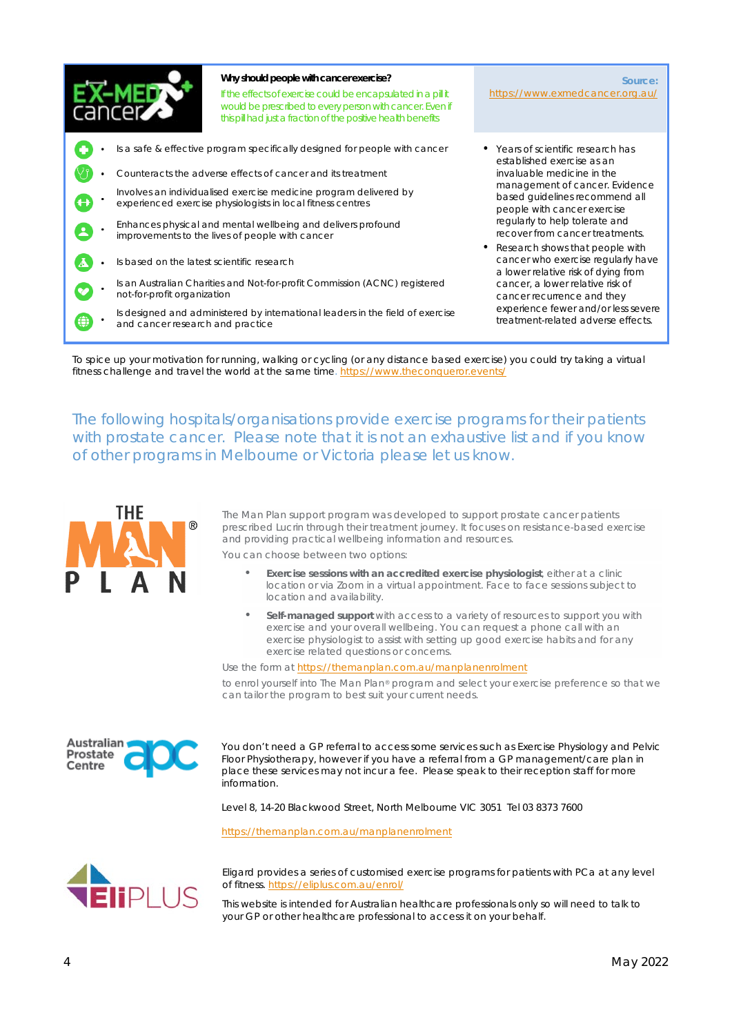

**Why should people with cancer exercise?** If the effects of exercise could be encapsulated in a pill it would be prescribed to every person with cancer. Even if this pill had just a fraction of the positive health benefits

- Is a safe & effective program specifically designed for people with cancer
- Counteracts the adverse effects of cancer and its treatment
- Involves an individualised exercise medicine program delivered by experienced exercise physiologists in local fitness centres
- Enhances physical and mental wellbeing and delivers profound improvements to the lives of people with cancer
- Is based on the latest scientific research
- Is an Australian Charities and Not-for-profit Commission (ACNC) registered not-for-profit organization
- Is designed and administered by international leaders in the field of exercise and cancer research and practice

**Source:** https://www.exmedcancer.org.au/

- Years of scientific research has established exercise as an invaluable medicine in the management of cancer. Evidence based guidelines recommend all people with cancer exercise regularly to help tolerate and recover from cancer treatments.
- Research shows that people with cancer who exercise regularly have a lower relative risk of dying from cancer, a lower relative risk of cancer recurrence and they experience fewer and/or less severe treatment-related adverse effects.

To spice up your motivation for running, walking or cycling (or any distance based exercise) you could try taking a virtual fitness challenge and travel the world at the same time. https://www.theconqueror.events/

The following hospitals/organisations provide exercise programs for their patients with prostate cancer. Please note that it is not an exhaustive list and if you know of other programs in Melbourne or Victoria please let us know.



The Man Plan support program was developed to support prostate cancer patients prescribed Lucrin through their treatment journey. It focuses on resistance-based exercise and providing practical wellbeing information and resources.

You can choose between two options:

- **Exercise sessions with an accredited exercise physiologist**, either at a clinic location or via Zoom in a virtual appointment. Face to face sessions subject to location and availability.
- **Self-managed support** with access to a variety of resources to support you with exercise and your overall wellbeing. You can request a phone call with an exercise physiologist to assist with setting up good exercise habits and for any exercise related questions or concerns.

Use the form at https://themanplan.com.au/manplanenrolment to enrol yourself into The Man Plan® program and select your exercise preference so that we can tailor the program to best suit your current needs.



You don't need a GP referral to access some services such as Exercise Physiology and Pelvic Floor Physiotherapy, however if you have a referral from a GP management/care plan in place these services may not incur a fee. Please speak to their reception staff for more information.

Level 8, 14-20 Blackwood Street, North Melbourne VIC 3051 Tel 03 8373 7600

https://themanplan.com.au/manplanenrolment



Eligard provides a series of customised exercise programs for patients with PCa at any level of fitness. https://eliplus.com.au/enrol/

This website is intended for Australian healthcare professionals only so will need to talk to your GP or other healthcare professional to access it on your behalf.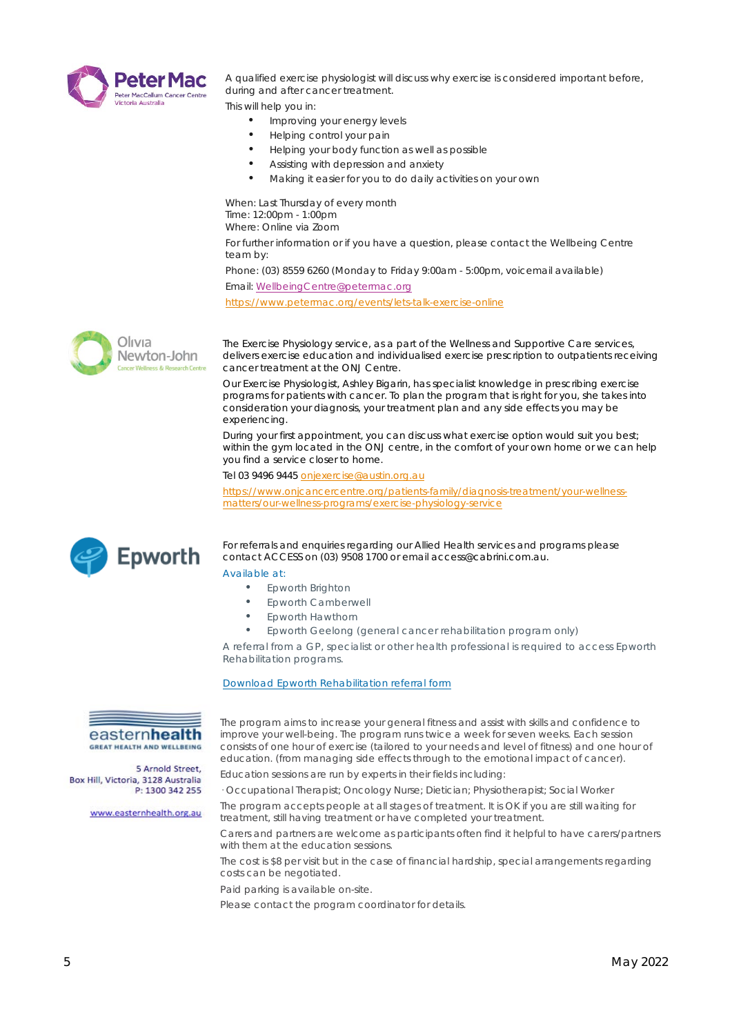

A qualified exercise physiologist will discuss why exercise is considered important before, during and after cancer treatment.

This will help you in:

- Improving your energy levels
- Helping control your pain
- Helping your body function as well as possible
- Assisting with depression and anxiety
- Making it easier for you to do daily activities on your own

When: Last Thursday of every month Time: 12:00pm - 1:00pm Where: Online via Zoom For further information or if you have a question, please contact the Wellbeing Centre

team by: Phone: (03) 8559 6260 (Monday to Friday 9:00am - 5:00pm, voicemail available)

Email: WellbeingCentre@petermac.org

https://www.petermac.org/events/lets-talk-exercise-online



The Exercise Physiology service, as a part of the Wellness and Supportive Care services, delivers exercise education and individualised exercise prescription to outpatients receiving cancer treatment at the ONJ Centre.

Our Exercise Physiologist, Ashley Bigarin, has specialist knowledge in prescribing exercise programs for patients with cancer. To plan the program that is right for you, she takes into consideration your diagnosis, your treatment plan and any side effects you may be experiencing.

During your first appointment, you can discuss what exercise option would suit you best; within the gym located in the ONJ centre, in the comfort of your own home or we can help you find a service closer to home.

Tel 03 9496 9445 onjexercise@austin.org.au

https://www.onjcancercentre.org/patients-family/diagnosis-treatment/your-wellnessmatters/our-wellness-programs/exercise-physiology-service



For referrals and enquiries regarding our Allied Health services and programs please contact ACCESS on (03) 9508 1700 or email access@cabrini.com.au.

#### Available at:

- Epworth Brighton
- Epworth Camberwell
- Epworth Hawthorn
- Epworth Geelong (general cancer rehabilitation program only)

A referral from a GP, specialist or other health professional is required to access Epworth Rehabilitation programs.

The program aims to increase your general fitness and assist with skills and confidence to improve your well-being. The program runs twice a week for seven weeks. Each session consists of one hour of exercise (tailored to your needs and level of fitness) and one hour of education. (from managing side effects through to the emotional impact of cancer).

#### Download Epworth Rehabilitation referral form



5 Arnold Street, Box Hill, Victoria, 3128 Australia

www.easternhealth.org.au

Education sessions are run by experts in their fields including: P: 1300 342 255 · Occupational Therapist; Oncology Nurse; Dietician; Physiotherapist; Social Worker

> The program accepts people at all stages of treatment. It is OK if you are still waiting for treatment, still having treatment or have completed your treatment.

Carers and partners are welcome as participants often find it helpful to have carers/partners with them at the education sessions.

The cost is \$8 per visit but in the case of financial hardship, special arrangements regarding costs can be negotiated.

Paid parking is available on-site.

Please contact the program coordinator for details.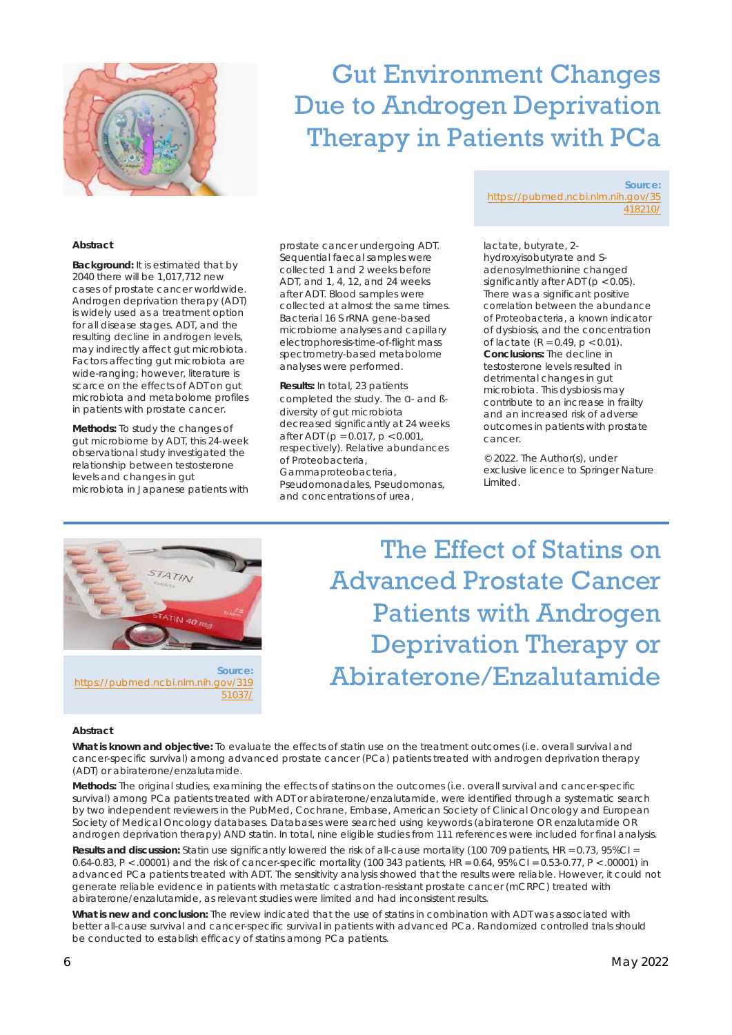

## Gut Environment Changes Due to Androgen Deprivation Therapy in Patients with PCa

#### **Abstract**

**Background:** It is estimated that by 2040 there will be 1,017,712 new cases of prostate cancer worldwide. Androgen deprivation therapy (ADT) is widely used as a treatment option for all disease stages. ADT, and the resulting decline in androgen levels, may indirectly affect gut microbiota. Factors affecting gut microbiota are wide-ranging; however, literature is scarce on the effects of ADT on gut microbiota and metabolome profiles in patients with prostate cancer.

**Methods:** To study the changes of gut microbiome by ADT, this 24-week observational study investigated the relationship between testosterone levels and changes in gut microbiota in Japanese patients with

prostate cancer undergoing ADT. Sequential faecal samples were collected 1 and 2 weeks before ADT, and 1, 4, 12, and 24 weeks after ADT. Blood samples were collected at almost the same times. Bacterial 16 S rRNA gene-based microbiome analyses and capillary electrophoresis-time-of-flight mass spectrometry-based metabolome analyses were performed.

**Results:** In total, 23 patients completed the study. The ɑ- and ßdiversity of gut microbiota decreased significantly at 24 weeks after ADT (p = 0.017, p < 0.001, respectively). Relative abundances of Proteobacteria, Gammaproteobacteria, Pseudomonadales, Pseudomonas, and concentrations of urea,

**Source:** https://pubmed.ncbi.nlm.nih.gov/35 418210/

lactate, butyrate, 2 hydroxyisobutyrate and Sadenosylmethionine changed significantly after ADT ( $p < 0.05$ ). There was a significant positive correlation between the abundance of Proteobacteria, a known indicator of dysbiosis, and the concentration of lactate ( $R = 0.49$ ,  $p < 0.01$ ). **Conclusions:** The decline in testosterone levels resulted in detrimental changes in gut microbiota. This dysbiosis may contribute to an increase in frailty and an increased risk of adverse outcomes in patients with prostate cancer.

© 2022. The Author(s), under exclusive licence to Springer Nature Limited.



The Effect of Statins on Advanced Prostate Cancer Patients with Androgen Deprivation Therapy or Abiraterone/Enzalutamide

#### **Abstract**

**What is known and objective:** To evaluate the effects of statin use on the treatment outcomes (i.e. overall survival and cancer-specific survival) among advanced prostate cancer (PCa) patients treated with androgen deprivation therapy (ADT) or abiraterone/enzalutamide.

**Methods:** The original studies, examining the effects of statins on the outcomes (i.e. overall survival and cancer-specific survival) among PCa patients treated with ADT or abiraterone/enzalutamide, were identified through a systematic search by two independent reviewers in the PubMed, Cochrane, Embase, American Society of Clinical Oncology and European Society of Medical Oncology databases. Databases were searched using keywords (abiraterone OR enzalutamide OR androgen deprivation therapy) AND statin. In total, nine eligible studies from 111 references were included for final analysis.

**Results and discussion:** Statin use significantly lowered the risk of all-cause mortality (100 709 patients, HR = 0.73, 95%CI = 0.64-0.83, P < .00001) and the risk of cancer-specific mortality (100 343 patients, HR = 0.64, 95% CI = 0.53-0.77, P < .00001) in advanced PCa patients treated with ADT. The sensitivity analysis showed that the results were reliable. However, it could not generate reliable evidence in patients with metastatic castration-resistant prostate cancer (mCRPC) treated with abiraterone/enzalutamide, as relevant studies were limited and had inconsistent results.

**What is new and conclusion:** The review indicated that the use of statins in combination with ADT was associated with better all-cause survival and cancer-specific survival in patients with advanced PCa. Randomized controlled trials should be conducted to establish efficacy of statins among PCa patients.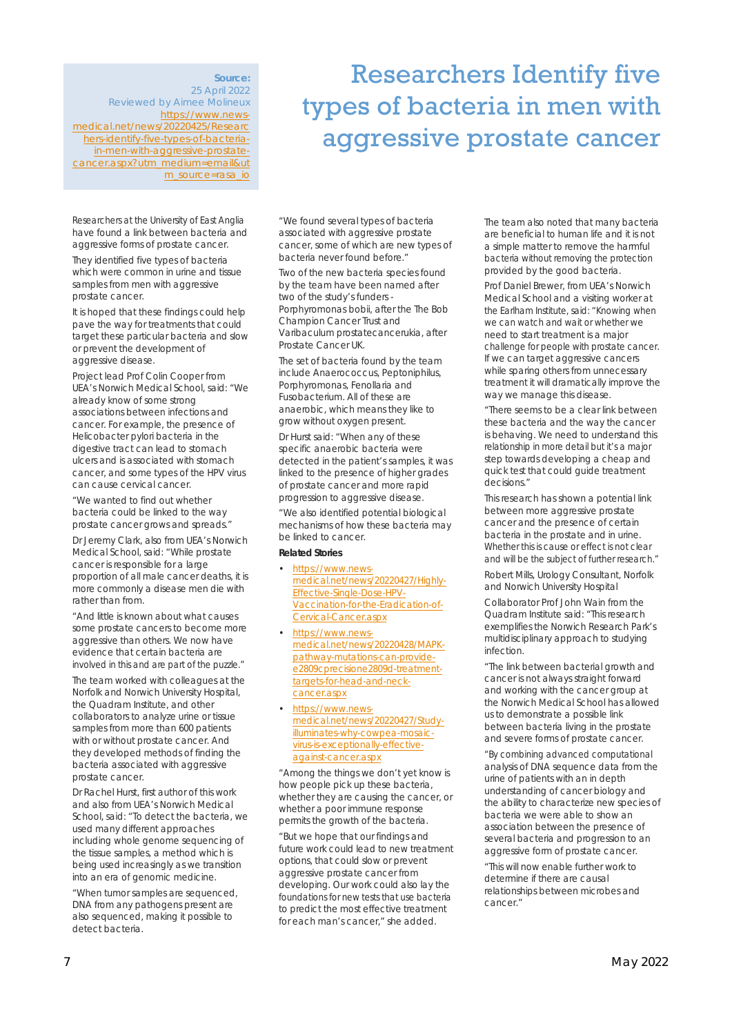**Source:** 25 April 2022 Reviewed by Aimee Molineux https://www.newsmedical.net/news/20220425/Researc hers-identify-five-types-of-bacteriain-men-with-aggressive-prostatecancer.aspx?utm\_medium=email&ut m\_source=rasa\_io

Researchers at the University of East Anglia have found a link between bacteria and aggressive forms of prostate cancer.

They identified five types of bacteria which were common in urine and tissue samples from men with aggressive prostate cancer.

It is hoped that these findings could help pave the way for treatments that could target these particular bacteria and slow or prevent the development of aggressive disease.

Project lead Prof Colin Cooper from UEA's Norwich Medical School, said: "We already know of some strong associations between infections and cancer. For example, the presence of *Helicobacter pylori* bacteria in the digestive tract can lead to stomach ulcers and is associated with stomach cancer, and some types of the HPV virus can cause cervical cancer.

"We wanted to find out whether bacteria could be linked to the way prostate cancer grows and spreads."

Dr Jeremy Clark, also from UEA's Norwich Medical School, said: "While prostate cancer is responsible for a large proportion of all male cancer deaths, it is more commonly a disease men die with rather than from.

"And little is known about what causes some prostate cancers to become more aggressive than others. We now have evidence that certain bacteria are involved in this and are part of the puzzle."

The team worked with colleagues at the Norfolk and Norwich University Hospital, the Quadram Institute, and other collaborators to analyze urine or tissue samples from more than 600 patients with or without prostate cancer. And they developed methods of finding the bacteria associated with aggressive prostate cancer.

Dr Rachel Hurst, first author of this work and also from UEA's Norwich Medical School, said: "To detect the bacteria, we used many different approaches including whole genome sequencing of the tissue samples, a method which is being used increasingly as we transition into an era of genomic medicine.

"When tumor samples are sequenced, DNA from any pathogens present are also sequenced, making it possible to detect bacteria.

Researchers Identify five types of bacteria in men with aggressive prostate cancer

"We found several types of bacteria associated with aggressive prostate cancer, some of which are new types of bacteria never found before."

Two of the new bacteria species found by the team have been named after two of the study's funders - *Porphyromonas bobii*, after the The Bob Champion Cancer Trust and *Varibaculum prostatecancerukia,* after Prostate Cancer UK.

The set of bacteria found by the team include *Anaerococcus*, *Peptoniphilus*, *Porphyromonas*, *Fenollaria* and *Fusobacterium*. All of these are anaerobic, which means they like to grow without oxygen present.

Dr Hurst said: "When any of these specific anaerobic bacteria were detected in the patient's samples, it was linked to the presence of higher grades of prostate cancer and more rapid progression to aggressive disease.

"We also identified potential biological mechanisms of how these bacteria may be linked to cancer.

**Related Stories**

- https://www.newsmedical.net/news/20220427/Highly-Effective-Single-Dose-HPV-Vaccination-for-the-Eradication-of-Cervical-Cancer.aspx
- https://www.newsmedical.net/news/20220428/MAPKpathway-mutations-can-providee2809cprecisione2809d-treatmenttargets-for-head-and-neckcancer.aspx
- https://www.newsmedical.net/news/20220427/Studyilluminates-why-cowpea-mosaicvirus-is-exceptionally-effectiveagainst-cancer.aspx

"Among the things we don't yet know is how people pick up these bacteria, whether they are causing the cancer, or whether a poor immune response permits the growth of the bacteria.

"But we hope that our findings and future work could lead to new treatment options, that could slow or prevent aggressive prostate cancer from developing. Our work could also lay the foundations for new tests that use bacteria to predict the most effective treatment for each man's cancer," she added.

The team also noted that many bacteria are beneficial to human life and it is not a simple matter to remove the harmful bacteria without removing the protection provided by the good bacteria.

Prof Daniel Brewer, from UEA's Norwich Medical School and a visiting worker at the Earlham Institute, said: "Knowing when we can watch and wait or whether we need to start treatment is a major challenge for people with prostate cancer. If we can target aggressive cancers while sparing others from unnecessary treatment it will dramatically improve the way we manage this disease.

"There seems to be a clear link between these bacteria and the way the cancer is behaving. We need to understand this relationship in more detail but it's a major step towards developing a cheap and quick test that could guide treatment decisions."

*This research has shown a potential link between more aggressive prostate cancer and the presence of certain bacteria in the prostate and in urine. Whether this is cause or effect is not clear and will be the subject of further research."*

*Robert Mills, Urology Consultant, Norfolk and Norwich University Hospital*

Collaborator Prof John Wain from the Quadram Institute said: "This research exemplifies the Norwich Research Park's multidisciplinary approach to studying infection.

"The link between bacterial growth and cancer is not always straight forward and working with the cancer group at the Norwich Medical School has allowed us to demonstrate a possible link between bacteria living in the prostate and severe forms of prostate cancer.

"By combining advanced computational analysis of DNA sequence data from the urine of patients with an in depth understanding of cancer biology and the ability to characterize new species of bacteria we were able to show an association between the presence of several bacteria and progression to an aggressive form of prostate cancer.

"This will now enable further work to determine if there are causal relationships between microbes and cancer."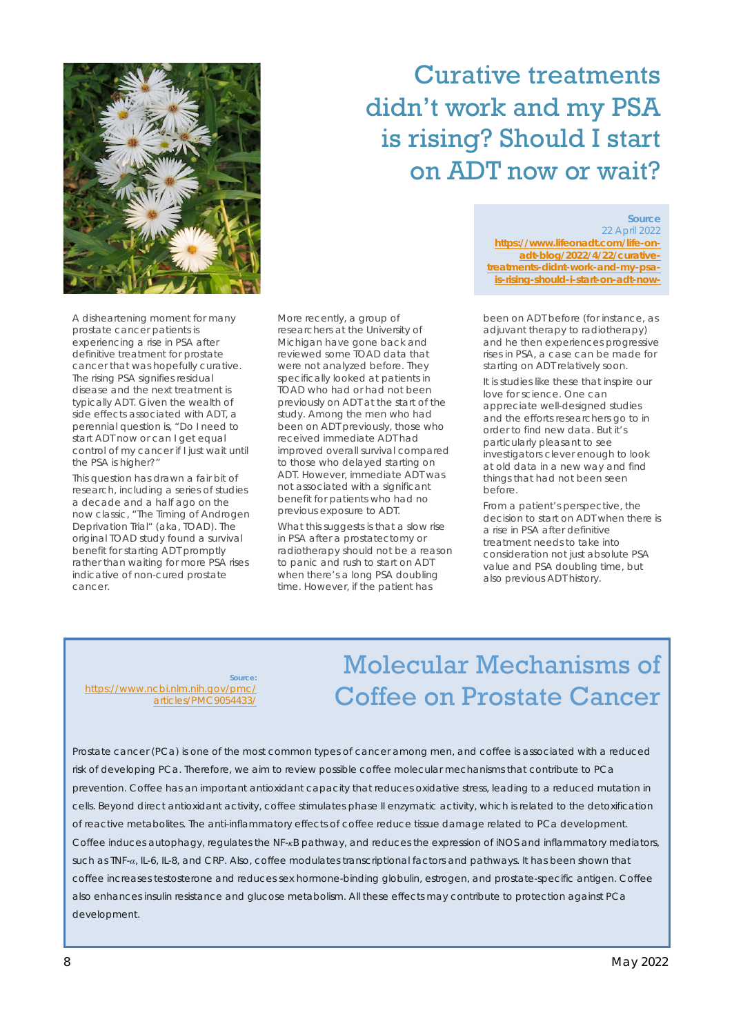

## Curative treatments didn't work and my PSA is rising? Should I start on ADT now or wait?

A disheartening moment for many prostate cancer patients is experiencing a rise in PSA after definitive treatment for prostate cancer that was hopefully curative. The rising PSA signifies residual disease and the next treatment is typically ADT. Given the wealth of side effects associated with ADT, a perennial question is, "Do I need to start ADT now or can I get equal control of my cancer if I just wait until the PSA is higher?"

This question has drawn a fair bit of research, including a series of studies a decade and a half ago on the now classic, "The Timing of Androgen Deprivation Trial" (aka, TOAD). The original TOAD study found a survival benefit for starting ADT promptly rather than waiting for more PSA rises indicative of non-cured prostate cancer.

More recently, a group of researchers at the University of Michigan have gone back and reviewed some TOAD data that were not analyzed before. They specifically looked at patients in TOAD who had or had not been previously on ADT at the start of the study. Among the men who had been on ADT previously, those who received immediate ADT had improved overall survival compared to those who delayed starting on ADT. However, immediate ADT was not associated with a significant benefit for patients who had no previous exposure to ADT.

What this suggests is that a slow rise in PSA after a prostatectomy or radiotherapy should not be a reason to panic and rush to start on ADT when there's a long PSA doubling time. However, if the patient has

22 April 2022 **https://www.lifeonadt.com/life-onadt-blog/2022/4/22/curativetreatments-didnt-work-and-my-psais-rising-should-i-start-on-adt-now-**

**Source**

been on ADT before (for instance, as adjuvant therapy to radiotherapy) and he then experiences progressive rises in PSA, a case can be made for starting on ADT relatively soon.

It is studies like these that inspire our love for science. One can appreciate well-designed studies and the efforts researchers go to in order to find new data. But it's particularly pleasant to see investigators clever enough to look at old data in a new way and find things that had not been seen before.

From a patient's perspective, the decision to start on ADT when there is a rise in PSA after definitive treatment needs to take into consideration not just absolute PSA value and PSA doubling time, but also previous ADT history.

**Source:** https://www.ncbi.nlm.nih.gov/pmc/ articles/PMC9054433/

## Molecular Mechanisms of Coffee on Prostate Cancer

Prostate cancer (PCa) is one of the most common types of cancer among men, and coffee is associated with a reduced risk of developing PCa. Therefore, we aim to review possible coffee molecular mechanisms that contribute to PCa prevention. Coffee has an important antioxidant capacity that reduces oxidative stress, leading to a reduced mutation in cells. Beyond direct antioxidant activity, coffee stimulates phase II enzymatic activity, which is related to the detoxification of reactive metabolites. The anti-inflammatory effects of coffee reduce tissue damage related to PCa development. Coffee induces autophagy, regulates the NF-*κ*B pathway, and reduces the expression of iNOS and inflammatory mediators, such as TNF-*α*, IL-6, IL-8, and CRP. Also, coffee modulates transcriptional factors and pathways. It has been shown that coffee increases testosterone and reduces sex hormone-binding globulin, estrogen, and prostate-specific antigen. Coffee also enhances insulin resistance and glucose metabolism. All these effects may contribute to protection against PCa development.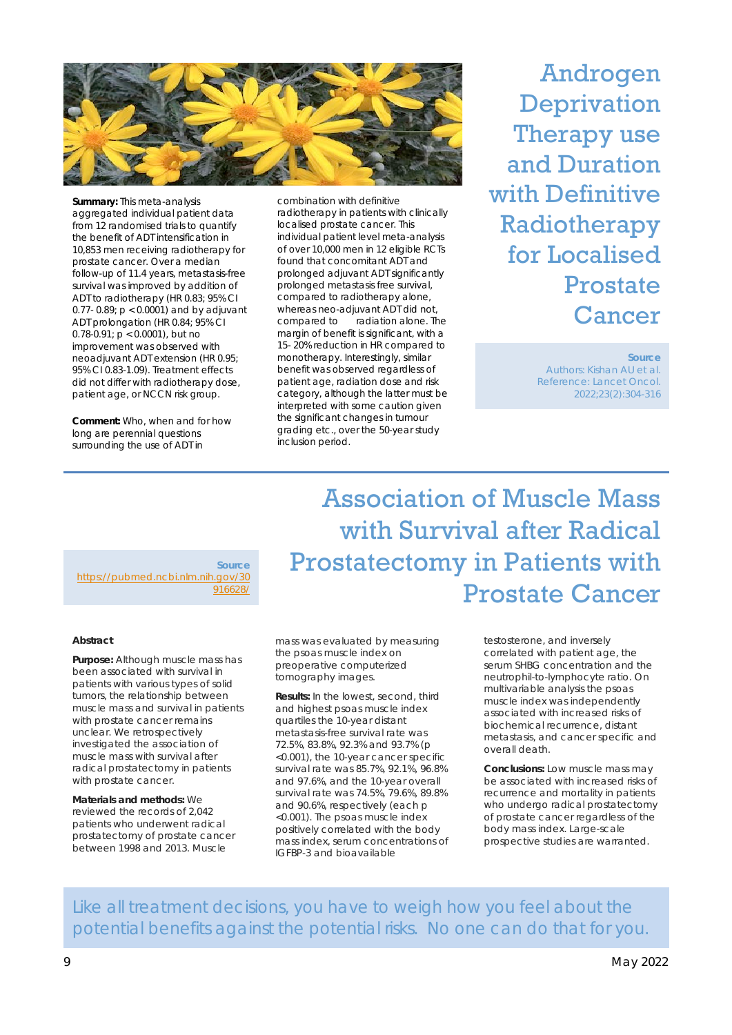

**Summary:** This meta-analysis aggregated individual patient data from 12 randomised trials to quantify the benefit of ADT intensification in 10,853 men receiving radiotherapy for prostate cancer. Over a median follow-up of 11.4 years, metastasis-free survival was improved by addition of ADT to radiotherapy (HR 0.83; 95% CI 0.77- 0.89; p < 0.0001) and by adjuvant ADT prolongation (HR 0.84; 95% CI 0.78-0.91; p < 0.0001), but no improvement was observed with neoadjuvant ADT extension (HR 0.95; 95% CI 0.83-1.09). Treatment effects did not differ with radiotherapy dose, patient age, or NCCN risk group.

**Comment:** Who, when and for how long are perennial questions surrounding the use of ADT in

combination with definitive radiotherapy in patients with clinically localised prostate cancer. This individual patient level meta-analysis of over 10,000 men in 12 eligible RCTs found that concomitant ADT and prolonged adjuvant ADT significantly prolonged metastasis free survival, compared to radiotherapy alone, whereas neo-adjuvant ADT did not, compared to radiation alone. The margin of benefit is significant, with a 15- 20% reduction in HR compared to monotherapy. Interestingly, similar benefit was observed regardless of patient age, radiation dose and risk category, although the latter must be interpreted with some caution given the significant changes in tumour grading etc., over the 50-year study inclusion period.

Androgen **Deprivation** Therapy use and Duration with Definitive Radiotherapy for Localised Prostate Cancer

> **Source** Authors: Kishan AU et al. Reference: Lancet Oncol. 2022;23(2):304-316

**Source** https://pubmed.ncbi.nlm.nih.gov/30 916628/

#### **Abstract**

**Purpose:** Although muscle mass has been associated with survival in patients with various types of solid tumors, the relationship between muscle mass and survival in patients with prostate cancer remains unclear. We retrospectively investigated the association of muscle mass with survival after radical prostatectomy in patients with prostate cancer.

**Materials and methods:** We reviewed the records of 2,042 patients who underwent radical prostatectomy of prostate cancer between 1998 and 2013. Muscle

mass was evaluated by measuring the psoas muscle index on preoperative computerized tomography images.

**Results:** In the lowest, second, third and highest psoas muscle index quartiles the 10-year distant metastasis-free survival rate was 72.5%, 83.8%, 92.3% and 93.7% (p <0.001), the 10-year cancer specific survival rate was 85.7%, 92.1%, 96.8% and 97.6%, and the 10-year overall survival rate was 74.5%, 79.6%, 89.8% and 90.6%, respectively (each p <0.001). The psoas muscle index positively correlated with the body mass index, serum concentrations of IGFBP-3 and bioavailable

testosterone, and inversely correlated with patient age, the serum SHBG concentration and the neutrophil-to-lymphocyte ratio. On multivariable analysis the psoas muscle index was independently associated with increased risks of biochemical recurrence, distant metastasis, and cancer specific and overall death.

Prostate Cancer

Association of Muscle Mass

Prostatectomy in Patients with

with Survival after Radical

**Conclusions:** Low muscle mass may be associated with increased risks of recurrence and mortality in patients who undergo radical prostatectomy of prostate cancer regardless of the body mass index. Large-scale prospective studies are warranted.

Like all treatment decisions, you have to weigh how you feel about the potential benefits against the potential risks. No one can do that for you.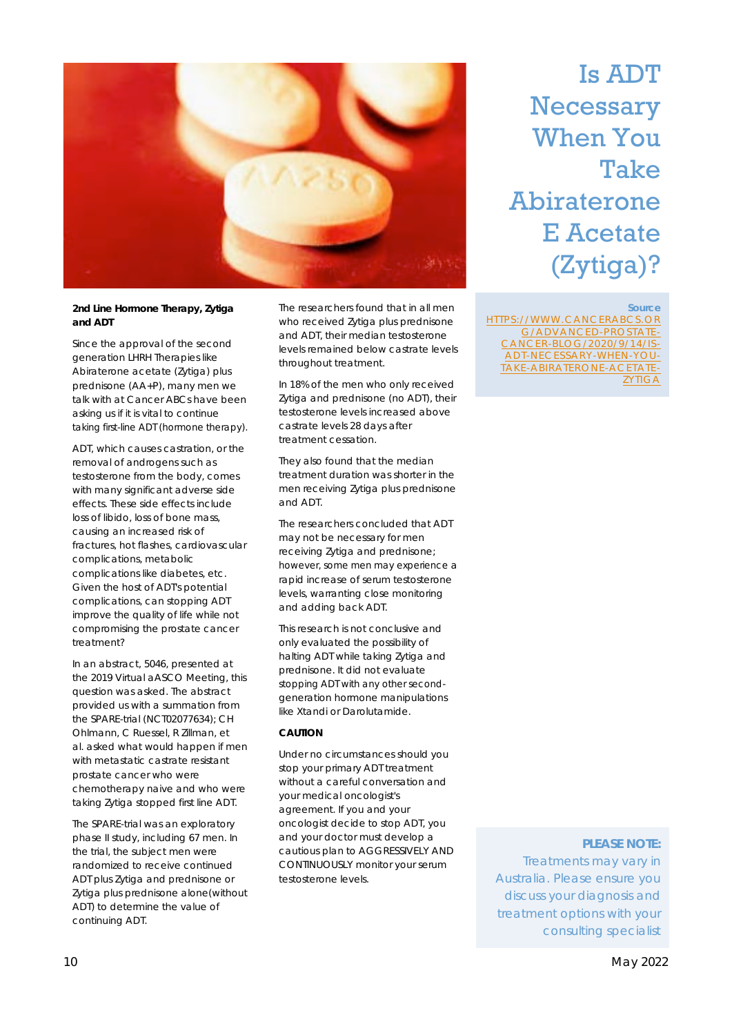

**2nd Line Hormone Therapy, Zytiga and ADT**

Since the approval of the second generation LHRH Therapies like Abiraterone acetate (Zytiga) plus prednisone (AA+P), many men we talk with at Cancer ABCs have been asking us if it is vital to continue taking first-line ADT (hormone therapy).

ADT, which causes castration, or the removal of androgens such as testosterone from the body, comes with many significant adverse side effects. These side effects include loss of libido, loss of bone mass, causing an increased risk of fractures, hot flashes, cardiovascular complications, metabolic complications like diabetes, etc. Given the host of ADT's potential complications, can stopping ADT improve the quality of life while not compromising the prostate cancer treatment?

In an abstract, 5046, presented at the 2019 Virtual aASCO Meeting, this question was asked. The abstract provided us with a summation from the SPARE-trial (NCT02077634); *CH Ohlmann, C Ruessel, R Zillman, et al.* asked what would happen if men with metastatic castrate resistant prostate cancer who were chemotherapy naive and who were taking Zytiga stopped first line ADT.

The SPARE-trial was an exploratory phase II study, including 67 men. In the trial, the subject men were randomized to receive continued ADT plus Zytiga and prednisone or Zytiga plus prednisone alone(without ADT) to determine the value of continuing ADT.

The researchers found that in all men who received Zytiga plus prednisone and ADT, their median testosterone levels remained below castrate levels throughout treatment.

In 18% of the men who only received Zytiga and prednisone (no ADT), their testosterone levels increased above castrate levels 28 days after treatment cessation.

They also found that the median treatment duration was shorter in the men receiving Zytiga plus prednisone and ADT.

The researchers concluded that ADT may not be necessary for men receiving Zytiga and prednisone; however, some men may experience a rapid increase of serum testosterone levels, warranting close monitoring and adding back ADT.

This research is not conclusive and only evaluated the possibility of halting ADT while taking Zytiga and prednisone. It did not evaluate stopping ADT with any other secondgeneration hormone manipulations like Xtandi or Darolutamide.

### **CAUTION**

Under no circumstances should you stop your primary ADT treatment without a careful conversation and your medical oncologist's agreement. If you and your oncologist decide to stop ADT, you and your doctor must develop a cautious plan to AGGRESSIVELY AND CONTINUOUSLY monitor your serum testosterone levels.

Is ADT **Necessary** When You Take **Abiraterone** E Acetate (Zytiga)?

**Source**

HTTPS://WWW.CANCERABCS.OR G/ADVANCED-PROSTATE-CANCER-BLOG/2020/9/14/IS-ADT-NECESSARY-WHEN-YOU-TAKE-ABIRATERONE-ACETATE-**ZYTIGA** 

**PLEASE NOTE:**  Treatments may vary in Australia. Please ensure you discuss your diagnosis and treatment options with your consulting specialist

### 10 May 2022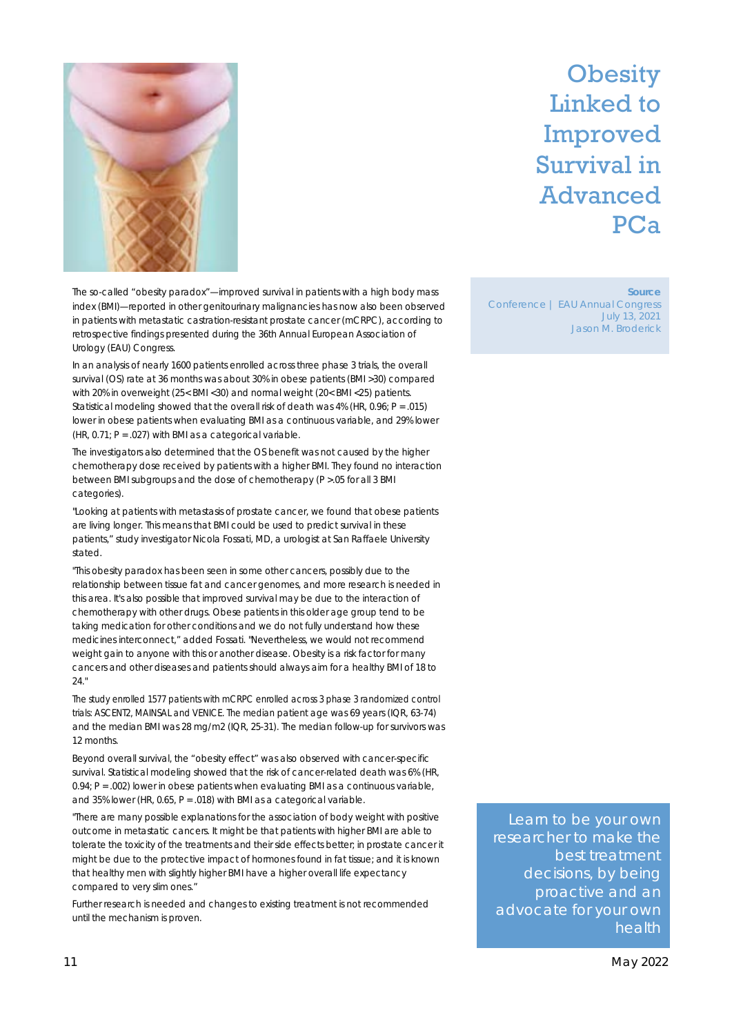

## **Obesity** Linked to Improved Survival in Advanced PCa

The so-called "obesity paradox"—improved survival in patients with a high body mass index (BMI)—reported in other genitourinary malignancies has now also been observed in patients with metastatic castration-resistant prostate cancer (mCRPC), according to retrospective findings presented during the 36th Annual European Association of Urology (EAU) Congress.

In an analysis of nearly 1600 patients enrolled across three phase 3 trials, the overall survival (OS) rate at 36 months was about 30% in obese patients (BMI >30) compared with 20% in overweight (25< BMI <30) and normal weight (20< BMI <25) patients. Statistical modeling showed that the overall risk of death was  $4\%$  (HR, 0.96; P = .015) lower in obese patients when evaluating BMI as a continuous variable, and 29% lower (HR,  $0.71$ ; P = .027) with BMI as a categorical variable.

The investigators also determined that the OS benefit was not caused by the higher chemotherapy dose received by patients with a higher BMI. They found no interaction between BMI subgroups and the dose of chemotherapy (P >.05 for all 3 BMI categories).

"Looking at patients with metastasis of prostate cancer, we found that obese patients are living longer. This means that BMI could be used to predict survival in these patients," study investigator Nicola Fossati, MD, a urologist at San Raffaele University stated.

"This obesity paradox has been seen in some other cancers, possibly due to the relationship between tissue fat and cancer genomes, and more research is needed in this area. It's also possible that improved survival may be due to the interaction of chemotherapy with other drugs. Obese patients in this older age group tend to be taking medication for other conditions and we do not fully understand how these medicines interconnect," added Fossati. "Nevertheless, we would not recommend weight gain to anyone with this or another disease. Obesity is a risk factor for many cancers and other diseases and patients should always aim for a healthy BMI of 18 to  $24$ "

The study enrolled 1577 patients with mCRPC enrolled across 3 phase 3 randomized control trials: ASCENT2, MAINSAL and VENICE. The median patient age was 69 years (IQR, 63-74) and the median BMI was 28 mg/m2 (IQR, 25-31). The median follow-up for survivors was 12 months.

Beyond overall survival, the "obesity effect" was also observed with cancer-specific survival. Statistical modeling showed that the risk of cancer-related death was 6% (HR, 0.94; P = .002) lower in obese patients when evaluating BMI as a continuous variable, and 35% lower (HR, 0.65,  $P = .018$ ) with BMI as a categorical variable.

"There are many possible explanations for the association of body weight with positive outcome in metastatic cancers. It might be that patients with higher BMI are able to tolerate the toxicity of the treatments and their side effects better; in prostate cancer it might be due to the protective impact of hormones found in fat tissue; and it is known that healthy men with slightly higher BMI have a higher overall life expectancy compared to very slim ones."

Further research is needed and changes to existing treatment is not recommended until the mechanism is proven.

**Source** Conference | EAU Annual Congress July 13, 2021 Jason M. Broderick

Learn to be your own researcher to make the best treatment decisions, by being proactive and an advocate for your own health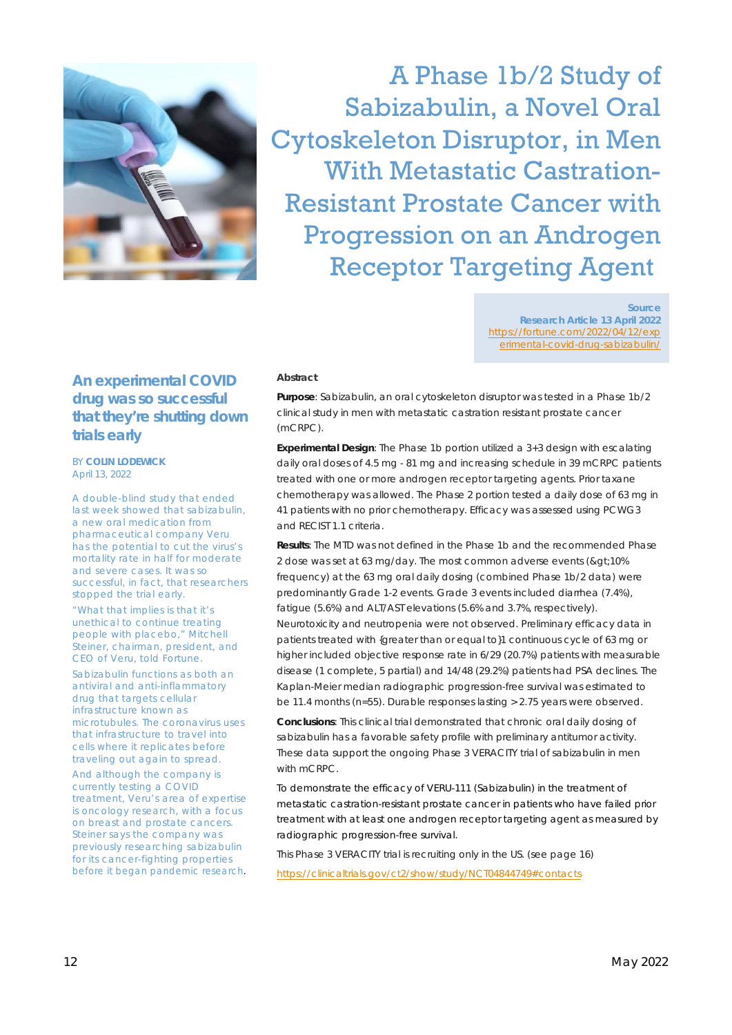

A Phase 1b/2 Study of Sabizabulin, a Novel Oral Cytoskeleton Disruptor, in Men With Metastatic Castration-Resistant Prostate Cancer with Progression on an Androgen Receptor Targeting Agent

> **Source Research Article 13 April 2022** https://fortune.com/2022/04/12/exp erimental-covid-drug-sabizabulin/

#### **Abstract**

**Purpose**: Sabizabulin, an oral cytoskeleton disruptor was tested in a Phase 1b/2 clinical study in men with metastatic castration resistant prostate cancer (mCRPC).

**Experimental Design**: The Phase 1b portion utilized a 3+3 design with escalating daily oral doses of 4.5 mg - 81 mg and increasing schedule in 39 mCRPC patients treated with one or more androgen receptor targeting agents. Prior taxane chemotherapy was allowed. The Phase 2 portion tested a daily dose of 63 mg in 41 patients with no prior chemotherapy. Efficacy was assessed using PCWG3 and RECIST 1.1 criteria.

**Results**: The MTD was not defined in the Phase 1b and the recommended Phase 2 dose was set at 63 mg/day. The most common adverse events (&qt;10%) frequency) at the 63 mg oral daily dosing (combined Phase 1b/2 data) were predominantly Grade 1-2 events. Grade 3 events included diarrhea (7.4%), fatigue (5.6%) and ALT/AST elevations (5.6% and 3.7%, respectively). Neurotoxicity and neutropenia were not observed. Preliminary efficacy data in patients treated with {greater than or equal to}1 continuous cycle of 63 mg or higher included objective response rate in 6/29 (20.7%) patients with measurable disease (1 complete, 5 partial) and 14/48 (29.2%) patients had PSA declines. The Kaplan-Meier median radiographic progression-free survival was estimated to be 11.4 months (n=55). Durable responses lasting > 2.75 years were observed.

**Conclusions**: This clinical trial demonstrated that chronic oral daily dosing of sabizabulin has a favorable safety profile with preliminary antitumor activity. These data support the ongoing Phase 3 VERACITY trial of sabizabulin in men with mCRPC.

To demonstrate the efficacy of VERU-111 (Sabizabulin) in the treatment of metastatic castration-resistant prostate cancer in patients who have failed prior treatment with at least one androgen receptor targeting agent as measured by radiographic progression-free survival.

This Phase 3 VERACITY trial is recruiting only in the US. (see page 16) https://clinicaltrials.gov/ct2/show/study/NCT04844749#contacts

### **An experimental COVID drug was so successful that they're shutting down trials early**

BY **COLIN LODEWICK** April 13, 2022

A double-blind study that ended last week showed that sabizabulin, a new oral medication from pharmaceutical company Veru has the potential to cut the virus's mortality rate in half for moderate and severe cases. It was so successful, in fact, that researchers stopped the trial early.

"What that implies is that it's unethical to continue treating people with placebo," Mitchell Steiner, chairman, president, and CEO of Veru, told *Fortune*.

Sabizabulin functions as both an antiviral and anti-inflammatory drug that targets cellular infrastructure known as microtubules. The coronavirus uses that infrastructure to travel into cells where it replicates before traveling out again to spread.

And although the company is currently testing a COVID treatment, Veru's area of expertise is oncology research, with a focus on breast and prostate cancers. Steiner says the company was previously researching sabizabulin for its cancer-fighting properties before it began pandemic research.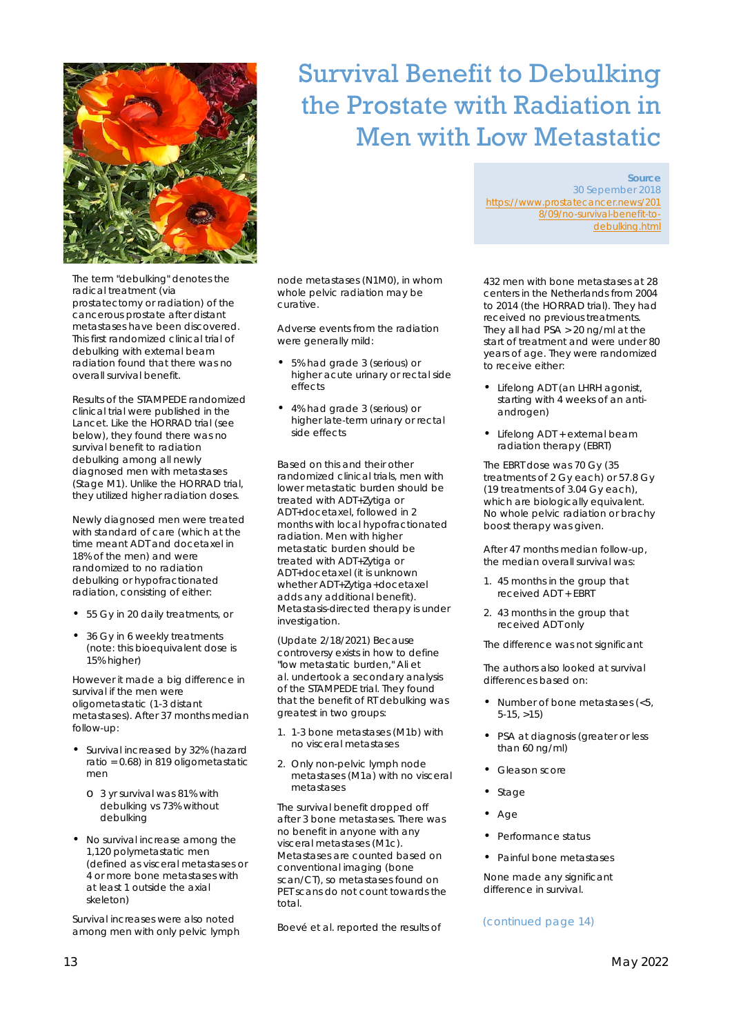

The term "debulking" denotes the radical treatment (via prostatectomy or radiation) of the cancerous prostate after distant metastases have been discovered. This first randomized clinical trial of debulking with external beam radiation found that there was no overall survival benefit.

Results of the STAMPEDE randomized clinical trial were published in the Lancet. Like the HORRAD trial (see below), they found there was no survival benefit to radiation debulking among all newly diagnosed men with metastases (Stage M1). Unlike the HORRAD trial, they utilized higher radiation doses.

Newly diagnosed men were treated with standard of care (which at the time meant ADT and docetaxel in 18% of the men) and were randomized to no radiation debulking or hypofractionated radiation, consisting of either:

- 55 Gy in 20 daily treatments, or
- 36 Gy in 6 weekly treatments (note: this bioequivalent dose is 15% higher)

However it made a big difference in survival if the men were oligometastatic (1-3 distant metastases). After 37 months median follow-up:

- Survival increased by 32% (hazard ratio = 0.68) in 819 oligometastatic men
	- o 3 yr survival was 81% with debulking vs 73% without debulking
- No survival increase among the 1,120 polymetastatic men (defined as visceral metastases or 4 or more bone metastases with at least 1 outside the axial skeleton)

Survival increases were also noted among men with only pelvic lymph

## Survival Benefit to Debulking the Prostate with Radiation in Men with Low Metastatic

node metastases (N1M0), in whom whole pelvic radiation may be curative.

Adverse events from the radiation were generally mild:

- 5% had grade 3 (serious) or higher acute urinary or rectal side effects
- 4% had grade 3 (serious) or higher late-term urinary or rectal side effects

Based on this and their other randomized clinical trials, men with lower metastatic burden should be treated with ADT+Zytiga or ADT+docetaxel, followed in 2 months with local hypofractionated radiation. Men with higher metastatic burden should be treated with ADT+Zytiga or ADT+docetaxel (it is unknown whether ADT+Zytiga+docetaxel adds any additional benefit). Metastasis-directed therapy is under investigation.

(Update 2/18/2021) Because controversy exists in how to define "low metastatic burden," Ali et al. undertook a secondary analysis of the STAMPEDE trial. They found that the benefit of RT debulking was greatest in two groups:

- 1. 1-3 bone metastases (M1b) with no visceral metastases
- 2. Only non-pelvic lymph node metastases (M1a) with no visceral metastases

The survival benefit dropped off after 3 bone metastases. There was no benefit in anyone with any visceral metastases (M1c). Metastases are counted based on conventional imaging (bone scan/CT), so metastases found on PET scans do not count towards the total.

Boevé et al. reported the results of

**Source** 30 Sepember 2018 https://www.prostatecancer.news/201 8/09/no-survival-benefit-todebulking.html

432 men with bone metastases at 28 centers in the Netherlands from 2004 to 2014 (the HORRAD trial). They had received no previous treatments. They all had PSA > 20 ng/ml at the start of treatment and were under 80 years of age. They were randomized to receive either:

- Lifelong ADT (an LHRH agonist, starting with 4 weeks of an antiandrogen)
- Lifelong ADT + external beam radiation therapy (EBRT)

The EBRT dose was 70 Gy (35 treatments of 2 Gy each) or 57.8 Gy (19 treatments of 3.04 Gy each), which are biologically equivalent. No whole pelvic radiation or brachy boost therapy was given.

After 47 months median follow-up, the median overall survival was:

- 1. 45 months in the group that received ADT + EBRT
- 2. 43 months in the group that received ADT only

The difference was not significant

The authors also looked at survival differences based on:

- Number of bone metastases (<5, 5-15, >15)
- PSA at diagnosis (greater or less than 60 ng/ml)
- Gleason score
- **Stage**
- Age
- Performance status
- Painful bone metastases

None made any significant difference in survival.

### (continued page 14)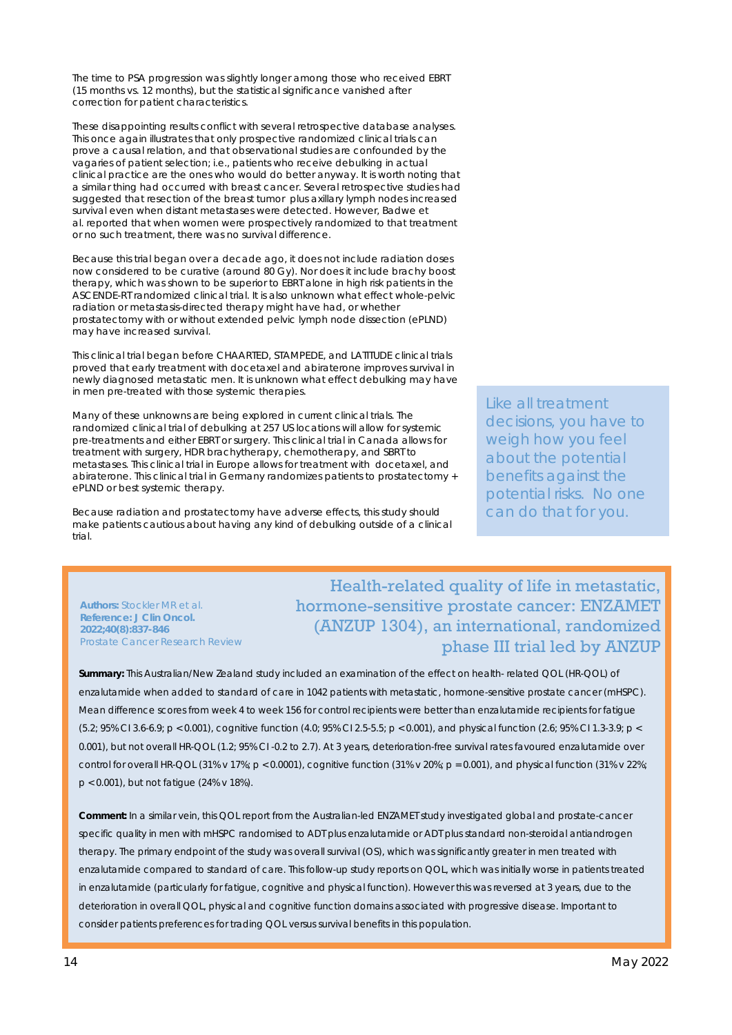The time to PSA progression was slightly longer among those who received EBRT (15 months vs. 12 months), but the statistical significance vanished after correction for patient characteristics.

These disappointing results conflict with several retrospective database analyses. This once again illustrates that only prospective randomized clinical trials can prove a causal relation, and that observational studies are confounded by the vagaries of patient selection; i.e., patients who receive debulking in actual clinical practice are the ones who would do better anyway. It is worth noting that a similar thing had occurred with breast cancer. Several retrospective studies had suggested that resection of the breast tumor plus axillary lymph nodes increased survival even when distant metastases were detected. However, Badwe et al. reported that when women were prospectively randomized to that treatment or no such treatment, there was no survival difference.

Because this trial began over a decade ago, it does not include radiation doses now considered to be curative (around 80 Gy). Nor does it include brachy boost therapy, which was shown to be superior to EBRT alone in high risk patients in the ASCENDE-RT randomized clinical trial. It is also unknown what effect whole-pelvic radiation or metastasis-directed therapy might have had, or whether prostatectomy with or without extended pelvic lymph node dissection (ePLND) may have increased survival.

This clinical trial began before CHAARTED, STAMPEDE, and LATITUDE clinical trials proved that early treatment with docetaxel and abiraterone improves survival in newly diagnosed metastatic men. It is unknown what effect debulking may have in men pre-treated with those systemic therapies.

Many of these unknowns are being explored in current clinical trials. The randomized clinical trial of debulking at 257 US locations will allow for systemic pre-treatments and either EBRT or surgery. This clinical trial in Canada allows for treatment with surgery, HDR brachytherapy, chemotherapy, and SBRT to metastases. This clinical trial in Europe allows for treatment with docetaxel, and abiraterone. This clinical trial in Germany randomizes patients to prostatectomy + ePLND or best systemic therapy.

Because radiation and prostatectomy have adverse effects, this study should make patients cautious about having any kind of debulking outside of a clinical trial.

**Authors:** Stockler MR et al. **Reference: J Clin Oncol. 2022;40(8):837-846**

Prostate Cancer Research Review

Like all treatment decisions, you have to weigh how you feel about the potential benefits against the potential risks. No one can do that for you.

Health-related quality of life in metastatic, hormone-sensitive prostate cancer: ENZAMET (ANZUP 1304), an international, randomized phase III trial led by ANZUP

**Summary:** This Australian/New Zealand study included an examination of the effect on health- related QOL (HR-QOL) of enzalutamide when added to standard of care in 1042 patients with metastatic, hormone-sensitive prostate cancer (mHSPC). Mean difference scores from week 4 to week 156 for control recipients were better than enzalutamide recipients for fatigue (5.2; 95% CI 3.6-6.9; p < 0.001), cognitive function (4.0; 95% CI 2.5-5.5; p < 0.001), and physical function (2.6; 95% CI 1.3-3.9; p < 0.001), but not overall HR-QOL (1.2; 95% CI -0.2 to 2.7). At 3 years, deterioration-free survival rates favoured enzalutamide over control for overall HR-QOL (31% v 17%; p < 0.0001), cognitive function (31% v 20%; p = 0.001), and physical function (31% v 22%; p < 0.001), but not fatigue (24% v 18%).

**Comment:** In a similar vein, this QOL report from the Australian-led ENZAMET study investigated global and prostate-cancer specific quality in men with mHSPC randomised to ADT plus enzalutamide or ADT plus standard non-steroidal antiandrogen therapy. The primary endpoint of the study was overall survival (OS), which was significantly greater in men treated with enzalutamide compared to standard of care. This follow-up study reports on QOL, which was initially worse in patients treated in enzalutamide (particularly for fatigue, cognitive and physical function). However this was reversed at 3 years, due to the deterioration in overall QOL, physical and cognitive function domains associated with progressive disease. Important to consider patients preferences for trading QOL versus survival benefits in this population.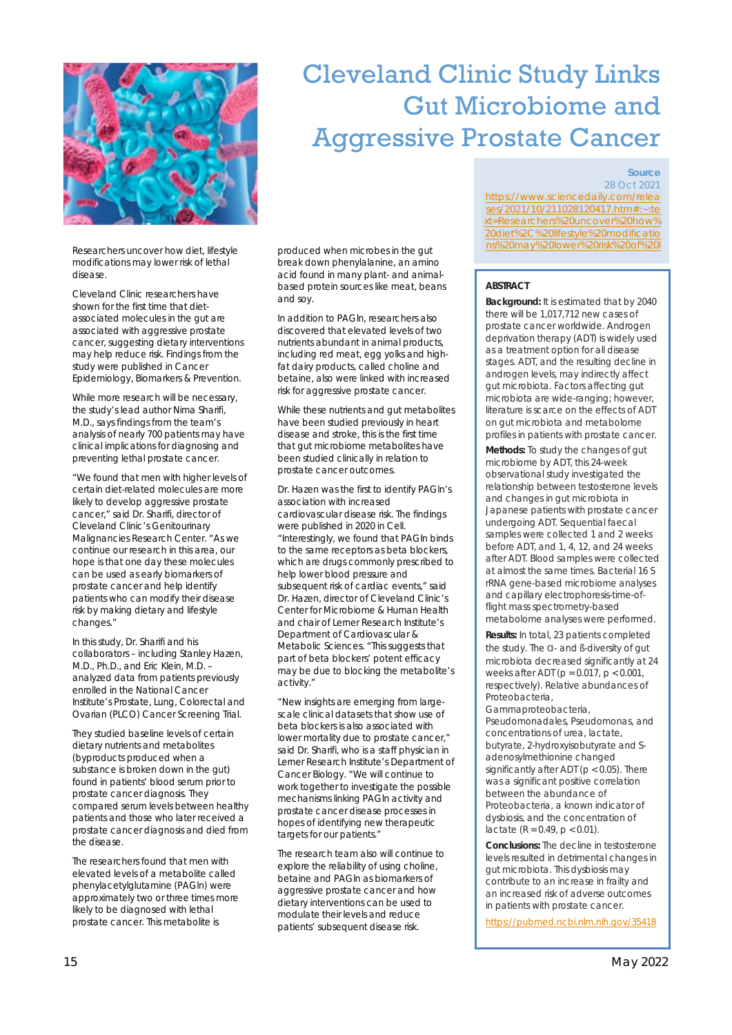

Researchers uncover how diet, lifestyle modifications may lower risk of lethal disease.

Cleveland Clinic researchers have shown for the first time that dietassociated molecules in the gut are associated with aggressive prostate cancer, suggesting dietary interventions may help reduce risk. Findings from the study were published in Cancer Epidemiology, Biomarkers & Prevention.

While more research will be necessary, the study's lead author Nima Sharifi, M.D., says findings from the team's analysis of nearly 700 patients may have clinical implications for diagnosing and preventing lethal prostate cancer.

"We found that men with higher levels of certain diet-related molecules are more likely to develop aggressive prostate cancer," said Dr. Sharifi, director of Cleveland Clinic's Genitourinary Malignancies Research Center. "As we continue our research in this area, our hope is that one day these molecules can be used as early biomarkers of prostate cancer and help identify patients who can modify their disease risk by making dietary and lifestyle changes."

In this study, Dr. Sharifi and his collaborators – including Stanley Hazen, M.D., Ph.D., and Eric Klein, M.D. – analyzed data from patients previously enrolled in the National Cancer Institute's Prostate, Lung, Colorectal and Ovarian (PLCO) Cancer Screening Trial.

They studied baseline levels of certain dietary nutrients and metabolites (byproducts produced when a substance is broken down in the gut) found in patients' blood serum prior to prostate cancer diagnosis. They compared serum levels between healthy patients and those who later received a prostate cancer diagnosis and died from the disease.

The researchers found that men with elevated levels of a metabolite called phenylacetylglutamine (PAGln) were approximately two or three times more likely to be diagnosed with lethal prostate cancer. This metabolite is

break down phenylalanine, an amino acid found in many plant- and animalbased protein sources like meat, beans and soy.

In addition to PAGln, researchers also discovered that elevated levels of two nutrients abundant in animal products, including red meat, egg yolks and highfat dairy products, called choline and betaine, also were linked with increased risk for aggressive prostate cancer.

While these nutrients and gut metabolites have been studied previously in heart disease and stroke, this is the first time that gut microbiome metabolites have been studied clinically in relation to prostate cancer outcomes.

Dr. Hazen was the first to identify PAGln's association with increased cardiovascular disease risk. The findings were published in 2020 in Cell. "Interestingly, we found that PAGln binds to the same receptors as beta blockers, which are drugs commonly prescribed to help lower blood pressure and subsequent risk of cardiac events," said Dr. Hazen, director of Cleveland Clinic's Center for Microbiome & Human Health and chair of Lerner Research Institute's Department of Cardiovascular & Metabolic Sciences. "This suggests that part of beta blockers' potent efficacy may be due to blocking the metabolite's activity."

"New insights are emerging from largescale clinical datasets that show use of beta blockers is also associated with lower mortality due to prostate cancer," said Dr. Sharifi, who is a staff physician in Lerner Research Institute's Department of Cancer Biology. "We will continue to work together to investigate the possible mechanisms linking PAGln activity and prostate cancer disease processes in hopes of identifying new therapeutic targets for our patients."

The research team also will continue to explore the reliability of using choline, betaine and PAGln as biomarkers of aggressive prostate cancer and how dietary interventions can be used to modulate their levels and reduce patients' subsequent disease risk.

## Cleveland Clinic Study Links Gut Microbiome and Aggressive Prostate Cancer

#### **Source** 28 Oct 2021

https://www.sciencedaily.com/relea ses/2021/10/211028120417.htm#:~:te xt=Researchers%20uncover%20how% 20diet%2C%20lifestyle%20modificatio produced when microbes in the gut noting noting produced when microbes in the gut

### **ABSTRACT**

**Background:** It is estimated that by 2040 there will be 1,017,712 new cases of prostate cancer worldwide. Androgen deprivation therapy (ADT) is widely used as a treatment option for all disease stages. ADT, and the resulting decline in androgen levels, may indirectly affect gut microbiota. Factors affecting gut microbiota are wide-ranging; however, literature is scarce on the effects of ADT on gut microbiota and metabolome profiles in patients with prostate cancer.

**Methods:** To study the changes of gut microbiome by ADT, this 24-week observational study investigated the relationship between testosterone levels and changes in gut microbiota in Japanese patients with prostate cancer undergoing ADT. Sequential faecal samples were collected 1 and 2 weeks before ADT, and 1, 4, 12, and 24 weeks after ADT. Blood samples were collected at almost the same times. Bacterial 16 S rRNA gene-based microbiome analyses and capillary electrophoresis-time-offlight mass spectrometry-based metabolome analyses were performed.

**Results:** In total, 23 patients completed the study. The ɑ- and ß-diversity of gut microbiota decreased significantly at 24 weeks after ADT (p = 0.017, p < 0.001, respectively). Relative abundances of Proteobacteria,

Gammaproteobacteria, Pseudomonadales, Pseudomonas, and concentrations of urea, lactate, butyrate, 2-hydroxyisobutyrate and Sadenosylmethionine changed significantly after ADT ( $p < 0.05$ ). There was a significant positive correlation between the abundance of Proteobacteria, a known indicator of dysbiosis, and the concentration of lactate ( $R = 0.49$ ,  $p < 0.01$ ).

**Conclusions:** The decline in testosterone levels resulted in detrimental changes in gut microbiota. This dysbiosis may contribute to an increase in frailty and an increased risk of adverse outcomes in patients with prostate cancer.

https://pubmed.ncbi.nlm.nih.gov/35418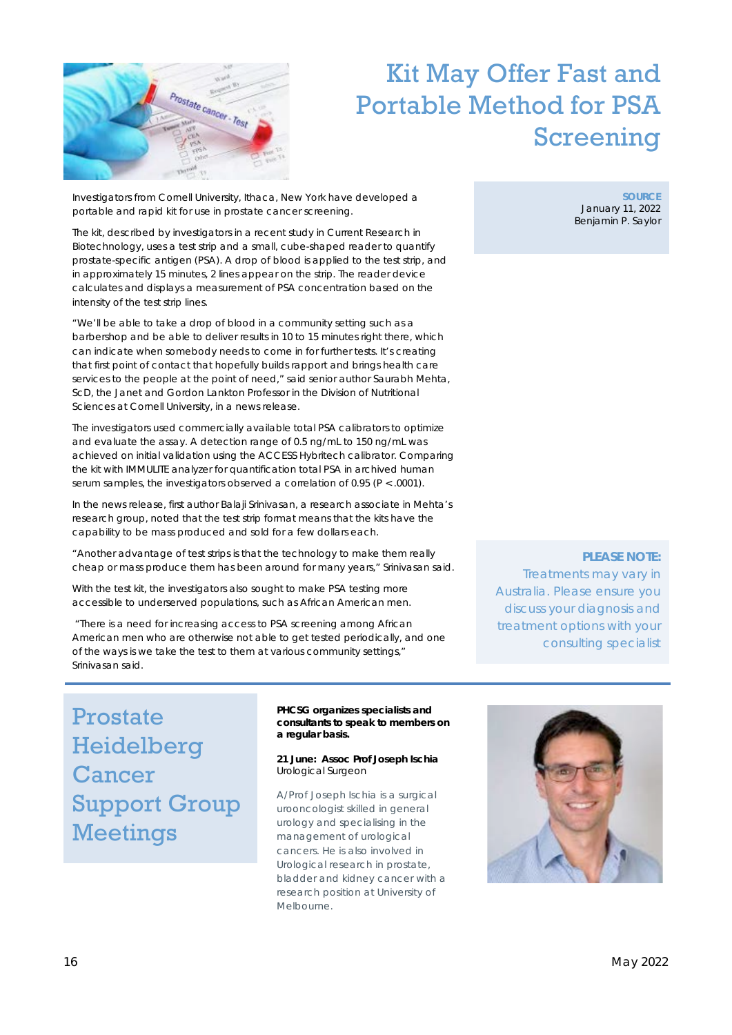

## Kit May Offer Fast and Portable Method for PSA Screening

Investigators from Cornell University, Ithaca, New York have developed a portable and rapid kit for use in prostate cancer screening.

The kit, described by investigators in a recent study in Current Research in Biotechnology, uses a test strip and a small, cube-shaped reader to quantify prostate-specific antigen (PSA). A drop of blood is applied to the test strip, and in approximately 15 minutes, 2 lines appear on the strip. The reader device calculates and displays a measurement of PSA concentration based on the intensity of the test strip lines.

"We'll be able to take a drop of blood in a community setting such as a barbershop and be able to deliver results in 10 to 15 minutes right there, which can indicate when somebody needs to come in for further tests. It's creating that first point of contact that hopefully builds rapport and brings health care services to the people at the point of need," said senior author Saurabh Mehta, ScD, the Janet and Gordon Lankton Professor in the Division of Nutritional Sciences at Cornell University, in a news release.

The investigators used commercially available total PSA calibrators to optimize and evaluate the assay. A detection range of 0.5 ng/mL to 150 ng/mL was achieved on initial validation using the ACCESS Hybritech calibrator. Comparing the kit with IMMULITE analyzer for quantification total PSA in archived human serum samples, the investigators observed a correlation of 0.95 (P < .0001).

In the news release, first author Balaji Srinivasan, a research associate in Mehta's research group, noted that the test strip format means that the kits have the capability to be mass produced and sold for a few dollars each.

"Another advantage of test strips is that the technology to make them really cheap or mass produce them has been around for many years," Srinivasan said.

With the test kit, the investigators also sought to make PSA testing more accessible to underserved populations, such as African American men.

"There is a need for increasing access to PSA screening among African American men who are otherwise not able to get tested periodically, and one of the ways is we take the test to them at various community settings," Srinivasan said.

**PLEASE NOTE:**  Treatments may vary in Australia. Please ensure you discuss your diagnosis and treatment options with your consulting specialist

Prostate Heidelberg Cancer Support Group Meetings

**PHCSG organizes specialists and consultants to speak to members on a regular basis.** 

**21 June: Assoc Prof Joseph Ischia**  Urological Surgeon

A/Prof Joseph Ischia is a surgical urooncologist skilled in general urology and specialising in the management of urological cancers. He is also involved in Urological research in prostate, bladder and kidney cancer with a research position at University of Melbourne.



**SOURCE** January 11, 2022 Benjamin P. Saylor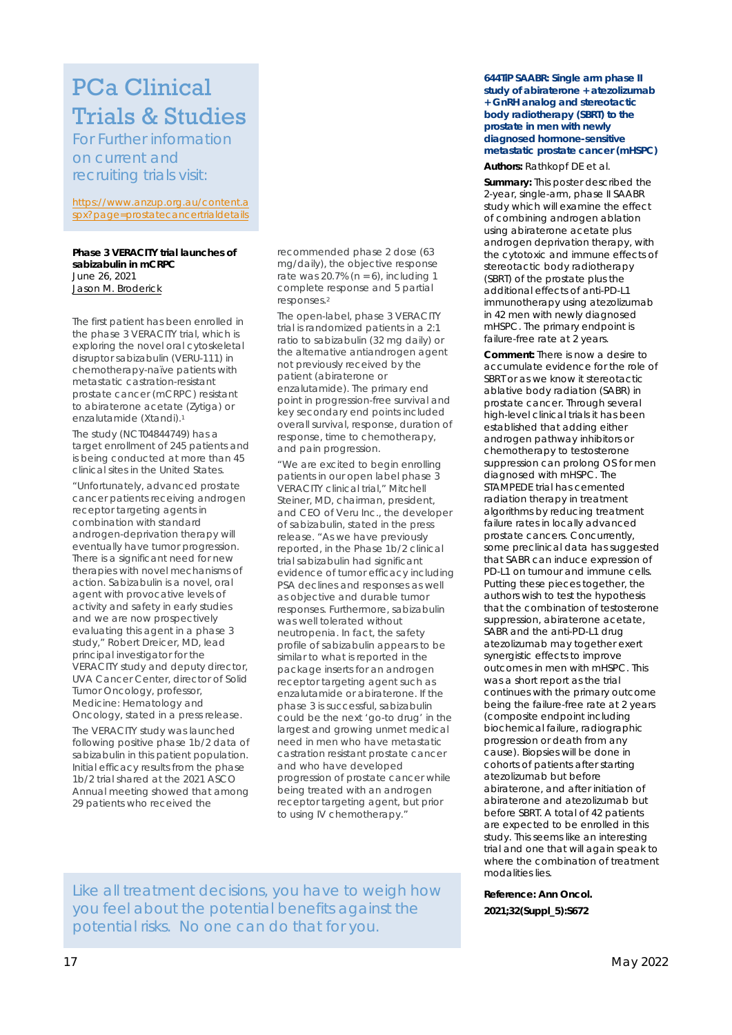## PCa Clinical Trials & Studies

For Further information on current and recruiting trials visit:

https://www.anzup.org.au/content.a spx?page=prostatecancertrialdetails

#### **Phase 3 VERACITY trial launches of sabizabulin in mCRPC** June 26, 2021 Jason M. Broderick

The first patient has been enrolled in the phase 3 VERACITY trial, which is exploring the novel oral cytoskeletal disruptor sabizabulin (VERU-111) in chemotherapy-naïve patients with metastatic castration-resistant prostate cancer (mCRPC) resistant to abiraterone acetate (Zytiga) or enzalutamide (Xtandi).1

The study (NCT04844749) has a target enrollment of 245 patients and is being conducted at more than 45 clinical sites in the United States.

"Unfortunately, advanced prostate cancer patients receiving androgen receptor targeting agents in combination with standard androgen-deprivation therapy will eventually have tumor progression. There is a significant need for new therapies with novel mechanisms of action. Sabizabulin is a novel, oral agent with provocative levels of activity and safety in early studies and we are now prospectively evaluating this agent in a phase 3 study," Robert Dreicer, MD, lead principal investigator for the VERACITY study and deputy director, UVA Cancer Center, director of Solid Tumor Oncology, professor, Medicine: Hematology and Oncology, stated in a press release.

The VERACITY study was launched following positive phase 1b/2 data of sabizabulin in this patient population. Initial efficacy results from the phase 1b/2 trial shared at the 2021 ASCO Annual meeting showed that among 29 patients who received the

recommended phase 2 dose (63 mg/daily), the objective response rate was 20.7% ( $n = 6$ ), including 1 complete response and 5 partial responses.2

The open-label, phase 3 VERACITY trial is randomized patients in a 2:1 ratio to sabizabulin (32 mg daily) or the alternative antiandrogen agent not previously received by the patient (abiraterone or enzalutamide). The primary end point in progression-free survival and key secondary end points included overall survival, response, duration of response, time to chemotherapy, and pain progression.

"We are excited to begin enrolling patients in our open label phase 3 VERACITY clinical trial," Mitchell Steiner, MD, chairman, president, and CEO of Veru Inc., the developer of sabizabulin, stated in the press release. "As we have previously reported, in the Phase 1b/2 clinical trial sabizabulin had significant evidence of tumor efficacy including PSA declines and responses as well as objective and durable tumor responses. Furthermore, sabizabulin was well tolerated without neutropenia. In fact, the safety profile of sabizabulin appears to be similar to what is reported in the package inserts for an androgen receptor targeting agent such as enzalutamide or abiraterone. If the phase 3 is successful, sabizabulin could be the next 'go-to drug' in the largest and growing unmet medical need in men who have metastatic castration resistant prostate cancer and who have developed progression of prostate cancer while being treated with an androgen receptor targeting agent, but prior to using IV chemotherapy."

**644TiP SAABR: Single arm phase II study of abiraterone + atezolizumab + GnRH analog and stereotactic body radiotherapy (SBRT) to the prostate in men with newly diagnosed hormone-sensitive metastatic prostate cancer (mHSPC)** 

#### **Authors:** Rathkopf DE et al.

**Summary:** This poster described the 2-year, single-arm, phase II SAABR study which will examine the effect of combining androgen ablation using abiraterone acetate plus androgen deprivation therapy, with the cytotoxic and immune effects of stereotactic body radiotherapy (SBRT) of the prostate plus the additional effects of anti-PD-L1 immunotherapy using atezolizumab in 42 men with newly diagnosed mHSPC. The primary endpoint is failure-free rate at 2 years.

**Comment:** There is now a desire to accumulate evidence for the role of SBRT or as we know it stereotactic ablative body radiation (SABR) in prostate cancer. Through several high-level clinical trials it has been established that adding either androgen pathway inhibitors or chemotherapy to testosterone suppression can prolong OS for men diagnosed with mHSPC. The STAMPEDE trial has cemented radiation therapy in treatment algorithms by reducing treatment failure rates in locally advanced prostate cancers. Concurrently, some preclinical data has suggested that SABR can induce expression of PD-L1 on tumour and immune cells. Putting these pieces together, the authors wish to test the hypothesis that the combination of testosterone suppression, abiraterone acetate, SABR and the anti-PD-L1 drug atezolizumab may together exert synergistic effects to improve outcomes in men with mHSPC. This was a short report as the trial continues with the primary outcome being the failure-free rate at 2 years (composite endpoint including biochemical failure, radiographic progression or death from any cause). Biopsies will be done in cohorts of patients after starting atezolizumab but before abiraterone, and after initiation of abiraterone and atezolizumab but before SBRT. A total of 42 patients are expected to be enrolled in this study. This seems like an interesting trial and one that will again speak to where the combination of treatment modalities lies.

**Reference: Ann Oncol.** 

**2021;32(Suppl\_5):S672** 

Like all treatment decisions, you have to weigh how you feel about the potential benefits against the potential risks. No one can do that for you.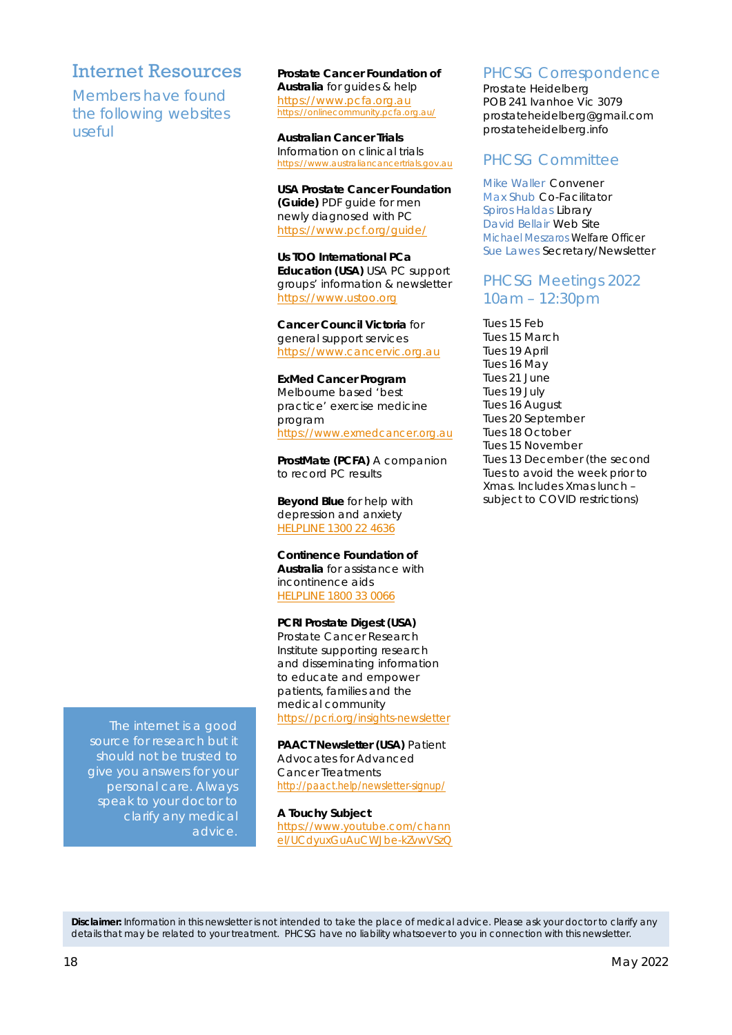### Internet Resources

Members have found the following websites useful

**Prostate Cancer Foundation of Australia** for guides & help https://www.pcfa.org.au https://onlinecommunity.pcfa.org.au/

**Australian Cancer Trials** Information on clinical trials https://www.australiancancertrials.gov.au

**USA Prostate Cancer Foundation (Guide)** PDF guide for men newly diagnosed with PC https://www.pcf.org/guide/

**Us TOO International PCa Education (USA)** USA PC support groups' information & newsletter https://www.ustoo.org

**Cancer Council Victoria** for general support services https://www.cancervic.org.au

**ExMed Cancer Program**  Melbourne based 'best practice' exercise medicine program https://www.exmedcancer.org.au

**ProstMate (PCFA)** A companion to record PC results

**Beyond Blue** for help with depression and anxiety HELPLINE 1300 22 4636

**Continence Foundation of Australia** for assistance with incontinence aids HELPLINE 1800 33 0066

**PCRI Prostate Digest (USA)**  Prostate Cancer Research Institute supporting research and disseminating information to educate and empower patients, families and the medical community https://pcri.org/insights-newsletter

**PAACT Newsletter (USA)** Patient Advocates for Advanced Cancer Treatments http://paact.help/newsletter-signup/

**A Touchy Subject** https://www.youtube.com/chann el/UCdyuxGuAuCWJbe-kZvwVSzQ PHCSG Correspondence

Prostate Heidelberg POB 241 Ivanhoe Vic 3079 prostateheidelberg@gmail.com prostateheidelberg.info

### PHCSG Committee

Mike Waller Convener Max Shub Co-Facilitator Spiros Haldas Library David Bellair Web Site Michael Meszaros Welfare Officer Sue Lawes Secretary/Newsletter

### PHCSG Meetings 2022 10am – 12:30pm

Tues 15 Feb Tues 15 March Tues 19 April Tues 16 May Tues 21 June Tues 19 July Tues 16 August Tues 20 September Tues 18 October Tues 15 November Tues 13 December (the second Tues to avoid the week prior to Xmas. Includes Xmas lunch – subject to COVID restrictions)

The internet is a good source for research but it should not be trusted to give you answers for your personal care. Always speak to your doctor to clarify any medical advice.

**Disclaimer:** *Information in this newsletter is not intended to take the place of medical advice. Please ask your doctor to clarify any details that may be related to your treatment. PHCSG have no liability whatsoever to you in connection with this newsletter.*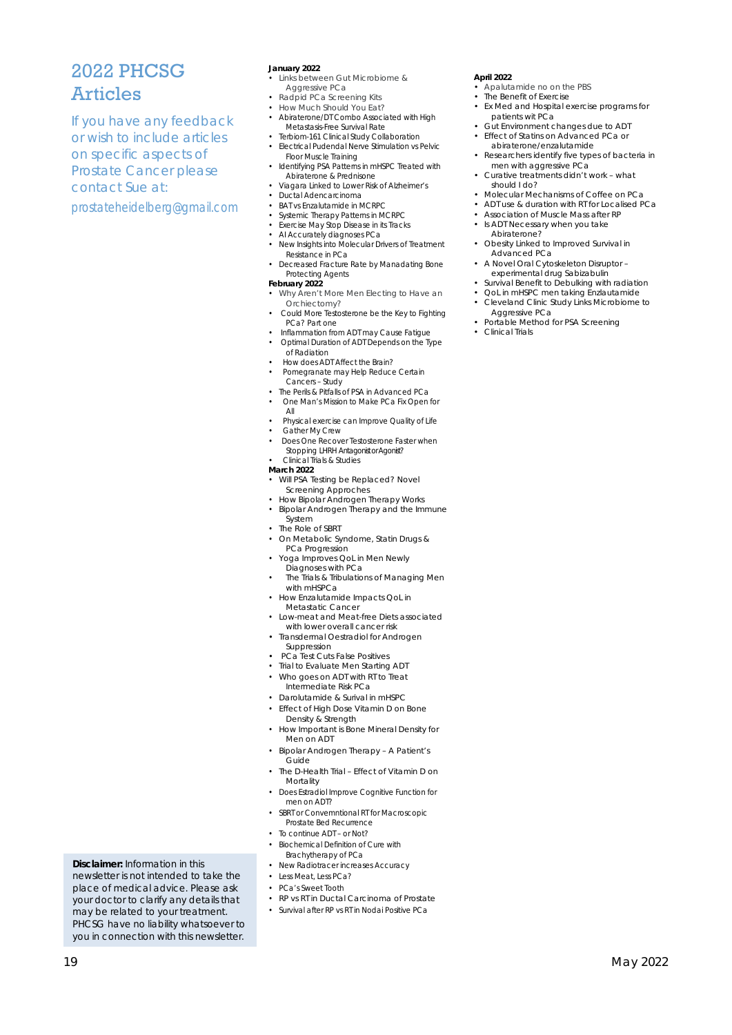### 2022 PHCSG Articles

If you have any feedback or wish to include articles on specific aspects of Prostate Cancer please contact Sue at:

prostateheidelberg@gmail.com

#### **January 2022**

- Links between Gut Microbiome & Aggressive PCa
- Radpid PCa Screening Kits
- How Much Should You Eat?
- Abiraterone/DT Combo Associated with High Metastasis-Free Survival Rate
- Terbiom-161 Clinical Study Collaboration • Electrical Pudendal Nerve Stimulation vs Pelvic Floor Muscle Training
- Identifying PSA Patterns in mHSPC Treated with Abiraterone & Prednisone
- Viagara Linked to Lower Risk of Alzheimer's
- Ductal Adencarcinoma • BAT vs Enzalutamide in MCRPC
- Systemic Therapy Patterns in MCRPC
- Exercise May Stop Disease in its Tracks
- AI Accurately diagnoses PCa
- New Insights into Molecular Drivers of Treatment Resistance in PCa
- Decreased Fracture Rate by Manadating Bone Protecting Agents **February 2022**
- 
- Why Aren't More Men Electing to Have an Orchiectomy?
- Could More Testosterone be the Key to Fighting PCa? Part one
- Inflammation from ADT may Cause Fatigue • Optimal Duration of ADT Depends on the Type
- of Radiation
- How does ADT Affect the Brain?
- Pomegranate may Help Reduce Certain Cancers – Study
- The Perils & Pitfalls of PSA in Advanced PCa • One Man's Mission to Make PCa Fix Open for
- All • Physical exercise can Improve Quality of Life
- Gather My Crew
- Does One Recover Testosterone Faster when Stopping LHRH Antagonist or Agonist?
- Clinical Trials & Studies
- **March 2022**
- Will PSA Testing be Replaced? Novel Screening Approches
- How Bipolar Androgen Therapy Works
- Bipolar Androgen Therapy and the Immune System
- The Role of SBRT
- On Metabolic Syndome, Statin Drugs &
- PCa Progression
- Yoga Improves QoL in Men Newly
- Diagnoses with PCa The Trials & Tribulations of Managing Men with mHSPCa
- How Enzalutamide Impacts QoL in Metastatic Cancer
- Low-meat and Meat-free Diets associated with lower overall cancer risk
- Transdermal Oestradiol for Androgen Suppression
- PCa Test Cuts False Positives
- Trial to Evaluate Men Starting ADT
- Who goes on ADT with RT to Treat
- Intermediate Risk PCa
- Darolutamide & Surival in mHSPC
- Effect of High Dose Vitamin D on Bone Density & Strength
- How Important is Bone Mineral Density for Men on ADT
- Bipolar Androgen Therapy A Patient's Guide
- The D-Health Trial Effect of Vitamin D on **Mortality**
- Does Estradiol Improve Cognitive Function for men on ADT?
- SBRT or Convemntional RT for Macroscopic
- Prostate Bed Recurrence To continue ADT - or Not?
- Biochemical Definition of Cure with
- Brachytherapy of PCa
- New Radiotracer increases Accuracy
- Less Meat, Less PCa? • PCa's Sweet Tooth
- RP vs RT in Ductal Carcinoma of Prostate
- Survival after RP vs RT in Nodai Positive PCa
- **April 2022**
- Apalutamide no on the PBS The Benefit of Exercise
- Ex Med and Hospital exercise programs for patients wit PCa
- Gut Environment changes due to ADT • Effect of Statins on Advanced PCa or
- abiraterone/enzalutamide Researchers identify five types of bacteria in
- men with aggressive PCa • Curative treatments didn't work – what should I do?
- Molecular Mechanisms of Coffee on PCa
- ADT use & duration with RT for Localised PCa
- Association of Muscle Mass after RP Is ADT Necessary when you take Abiraterone?
- Obesity Linked to Improved Survival in Advanced PCa
- A Novel Oral Cytoskeleton Disruptor –
- experimental drug Sabizabulin Survival Benefit to Debulking with radiation
- QoL in mHSPC men taking Enzlautamide
- Cleveland Clinic Study Links Microbiome to Aggressive PCa
- Portable Method for PSA Screening • Clinical Trials
- 

**Disclaimer:** *Information in this newsletter is not intended to take the place of medical advice. Please ask your doctor to clarify any details that may be related to your treatment. PHCSG have no liability whatsoever to you in connection with this newsletter.*